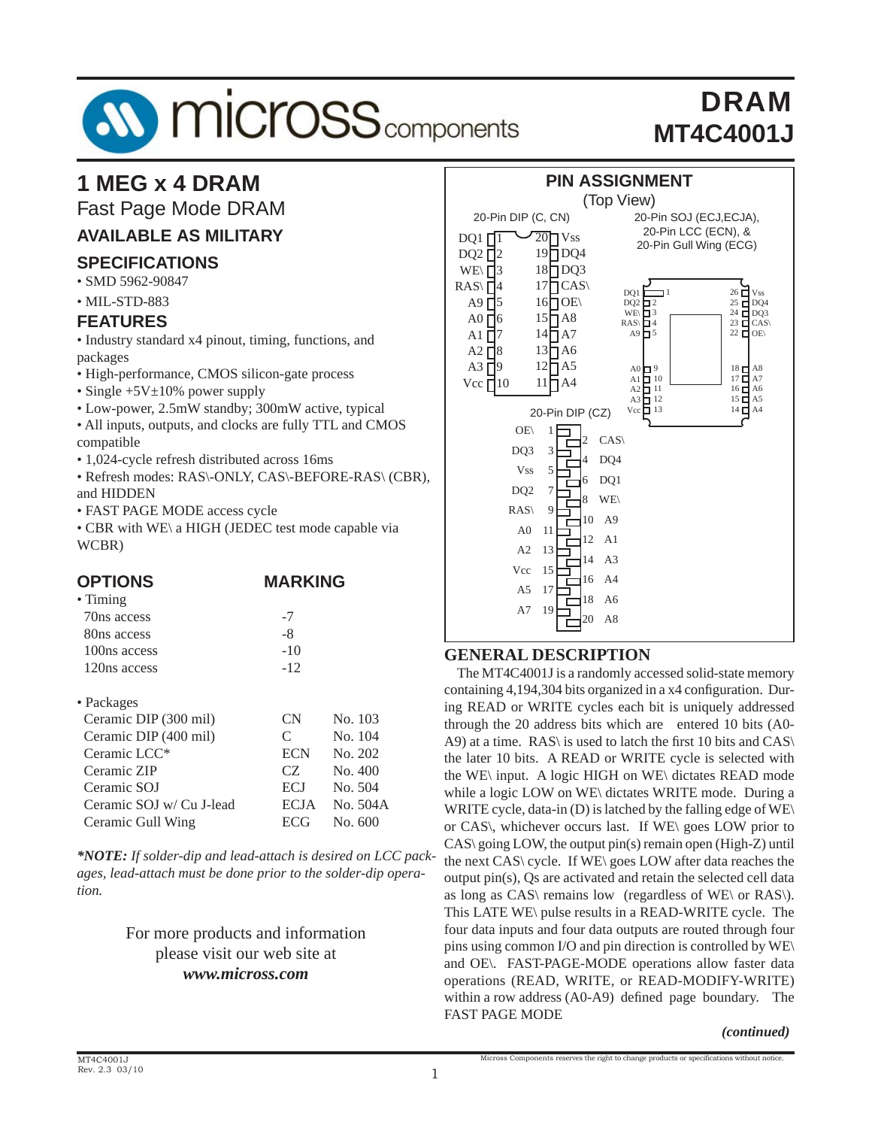

# **1 MEG x 4 DRAM**

Fast Page Mode DRAM

### **AVAILABLE AS MILITARY**

#### **SPECIFICATIONS**

• SMD 5962-90847

#### • MIL-STD-883

#### **FEATURES**

• Industry standard x4 pinout, timing, functions, and packages

- High-performance, CMOS silicon-gate process
- Single +5V $\pm$ 10% power supply
- Low-power, 2.5mW standby; 300mW active, typical
- All inputs, outputs, and clocks are fully TTL and CMOS compatible
- 1,024-cycle refresh distributed across 16ms
- Refresh modes: RAS\-ONLY, CAS\-BEFORE-RAS\ (CBR), and HIDDEN
- FAST PAGE MODE access cycle
- CBR with WE\ a HIGH (JEDEC test mode capable via WCBR)

| <b>OPTIONS</b>          | <b>MARKING</b> |
|-------------------------|----------------|
| $\bullet$ Timing        |                |
| 70 <sub>ns</sub> access | $-7$           |
| 80ns access             | -8             |
| 100ns access            | $-10$          |
| 120ns access            | $-12$          |
|                         |                |

#### • Packages

| Ceramic DIP (300 mil)    | <b>CN</b>   | No. 103  |
|--------------------------|-------------|----------|
| Ceramic DIP (400 mil)    | C           | No. 104  |
| Ceramic LCC*             | <b>ECN</b>  | No. 202  |
| Ceramic ZIP              | CZ.         | No. 400  |
| Ceramic SOJ              | <b>ECJ</b>  | No. 504  |
| Ceramic SOJ w/ Cu J-lead | <b>ECJA</b> | No. 504A |
| Ceramic Gull Wing        | <b>ECG</b>  | No. 600  |

*\*NOTE: If solder-dip and lead-attach is desired on LCC packages, lead-attach must be done prior to the solder-dip operation.*

#### For more products and information please visit our web site at *www.micross.com*



#### **GENERAL DESCRIPTION**

 The MT4C4001J is a randomly accessed solid-state memory containing 4,194,304 bits organized in a x4 configuration. During READ or WRITE cycles each bit is uniquely addressed through the 20 address bits which are entered 10 bits (A0- A9) at a time. RAS\ is used to latch the first 10 bits and CAS\ the later 10 bits. A READ or WRITE cycle is selected with the WE\ input. A logic HIGH on WE\ dictates READ mode while a logic LOW on WE\ dictates WRITE mode. During a WRITE cycle, data-in (D) is latched by the falling edge of WE\ or CAS\, whichever occurs last. If WE\ goes LOW prior to CAS\ going LOW, the output pin(s) remain open (High-Z) until the next CAS\ cycle. If WE\ goes LOW after data reaches the output pin(s), Qs are activated and retain the selected cell data as long as CAS\ remains low (regardless of WE\ or RAS\). This LATE WE\ pulse results in a READ-WRITE cycle. The four data inputs and four data outputs are routed through four pins using common I/O and pin direction is controlled by WE\ and OE\. FAST-PAGE-MODE operations allow faster data operations (READ, WRITE, or READ-MODIFY-WRITE) within a row address  $(A0-A9)$  defined page boundary. The FAST PAGE MODE

#### *(continued)*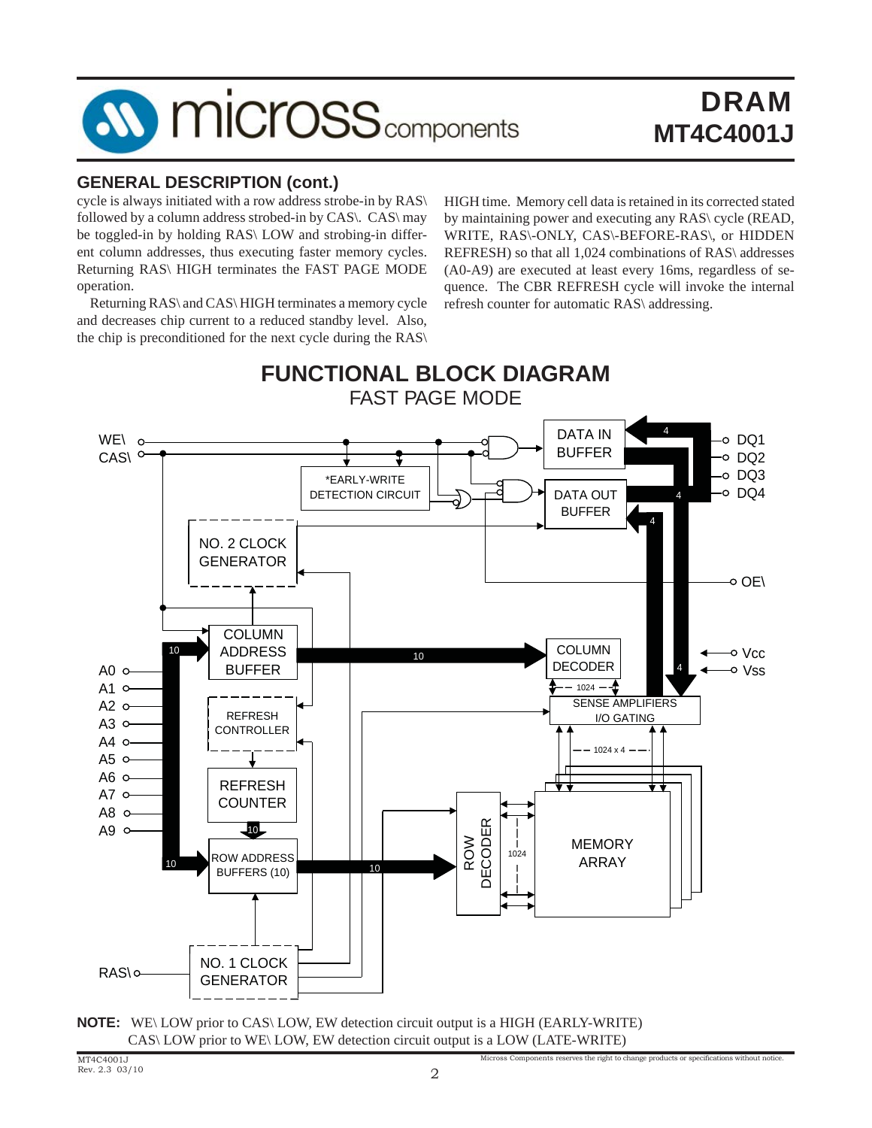

### **GENERAL DESCRIPTION (cont.)**

cycle is always initiated with a row address strobe-in by RAS\ followed by a column address strobed-in by CAS\. CAS\ may be toggled-in by holding RAS\ LOW and strobing-in different column addresses, thus executing faster memory cycles. Returning RAS\ HIGH terminates the FAST PAGE MODE operation.

 Returning RAS\ and CAS\ HIGH terminates a memory cycle and decreases chip current to a reduced standby level. Also, the chip is preconditioned for the next cycle during the RAS\ HIGH time. Memory cell data is retained in its corrected stated by maintaining power and executing any RAS\ cycle (READ, WRITE, RAS\-ONLY, CAS\-BEFORE-RAS\, or HIDDEN REFRESH) so that all 1,024 combinations of RAS\ addresses (A0-A9) are executed at least every 16ms, regardless of sequence. The CBR REFRESH cycle will invoke the internal refresh counter for automatic RAS\ addressing.

Components reserves the right to change products or specifications without notice.



**NOTE:** WE\ LOW prior to CAS\ LOW, EW detection circuit output is a HIGH (EARLY-WRITE) CAS\ LOW prior to WE\ LOW, EW detection circuit output is a LOW (LATE-WRITE)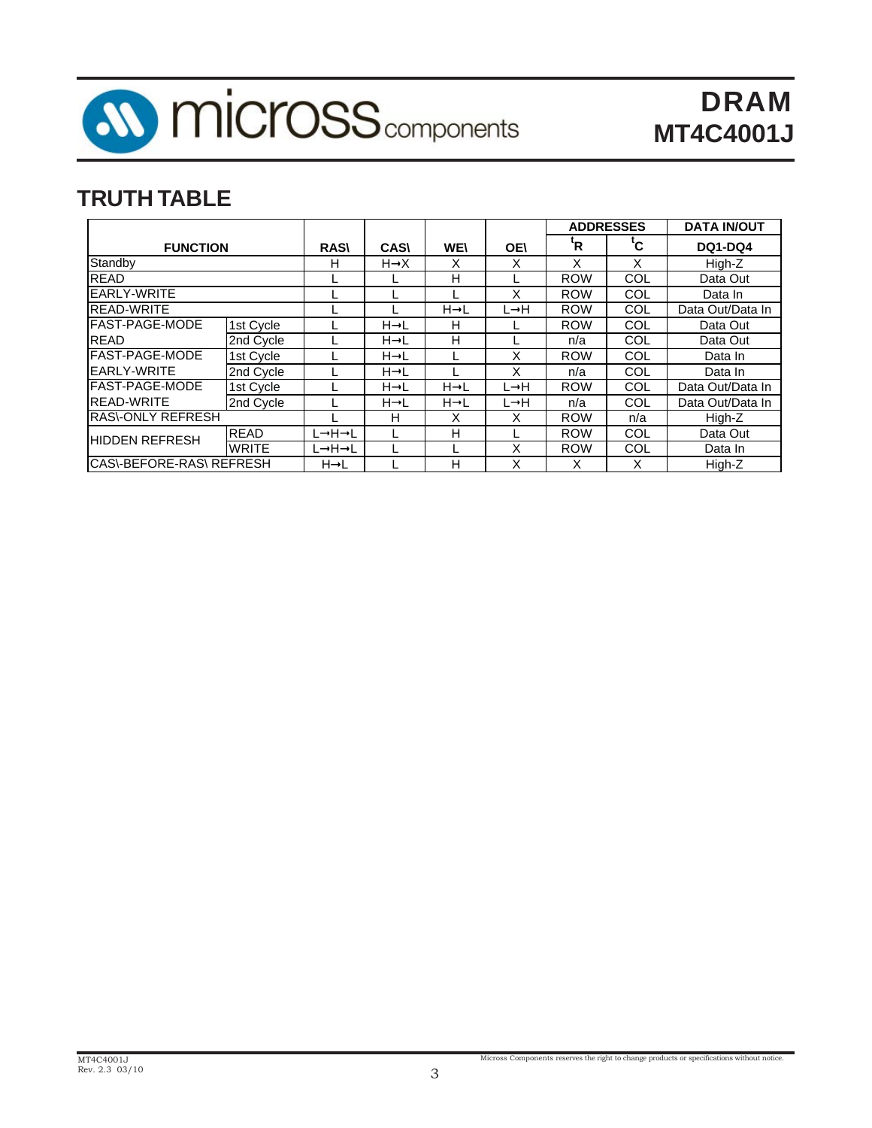

# **TRUTH TABLE**

|                                  |              |                   |                   |                   |           |                           | <b>ADDRESSES</b> | <b>DATA IN/OUT</b> |
|----------------------------------|--------------|-------------------|-------------------|-------------------|-----------|---------------------------|------------------|--------------------|
| <b>FUNCTION</b>                  |              | <b>RAS\</b>       | <b>CAS</b>        | <b>WE\</b>        | <b>OE</b> | $\mathbf{R}^{\mathsf{t}}$ | tc.              | DQ1-DQ4            |
| Standby                          |              | н                 | $H \rightarrow X$ | X                 | X         |                           | x                | High-Z             |
| <b>READ</b>                      |              |                   |                   | н                 |           | <b>ROW</b>                | COL              | Data Out           |
| EARLY-WRITE                      |              |                   |                   |                   | x         | <b>ROW</b>                | COL              | Data In            |
| <b>READ-WRITE</b>                |              |                   |                   | $H \rightarrow L$ | L→H       | <b>ROW</b>                | COL              | Data Out/Data In   |
| FAST-PAGE-MODE                   | 1st Cycle    |                   | $H \rightarrow L$ | н                 |           | <b>ROW</b>                | COL              | Data Out           |
| <b>READ</b>                      | 2nd Cycle    |                   | $H \rightarrow L$ | H                 |           | n/a                       | COL              | Data Out           |
| FAST-PAGE-MODE                   | 1st Cycle    |                   | $H \rightarrow L$ |                   | X         | <b>ROW</b>                | COL              | Data In            |
| <b>EARLY-WRITE</b>               | 2nd Cycle    |                   | $H \rightarrow L$ |                   | x         | n/a                       | COL              | Data In            |
| <b>FAST-PAGE-MODE</b>            | 1st Cycle    |                   | $H \rightarrow L$ | $H \rightarrow L$ | L→H       | <b>ROW</b>                | COL              | Data Out/Data In   |
| <b>READ-WRITE</b>                | 2nd Cycle    |                   | $H \rightarrow L$ | $H \rightarrow L$ | L→H       | n/a                       | COL              | Data Out/Data In   |
| <b>IRAS\-ONLY REFRESH</b>        |              |                   | н                 | X                 | x         | <b>ROW</b>                | n/a              | High-Z             |
| <b>HIDDEN REFRESH</b>            | <b>READ</b>  | L→H→L             |                   | н                 |           | <b>ROW</b>                | COL              | Data Out           |
|                                  | <b>WRITE</b> | L→H→L             |                   |                   | x         | <b>ROW</b>                | COL              | Data In            |
| <b>ICAS\-BEFORE-RAS\ REFRESH</b> |              | $H \rightarrow L$ |                   | н                 | Χ         |                           | x                | High-Z             |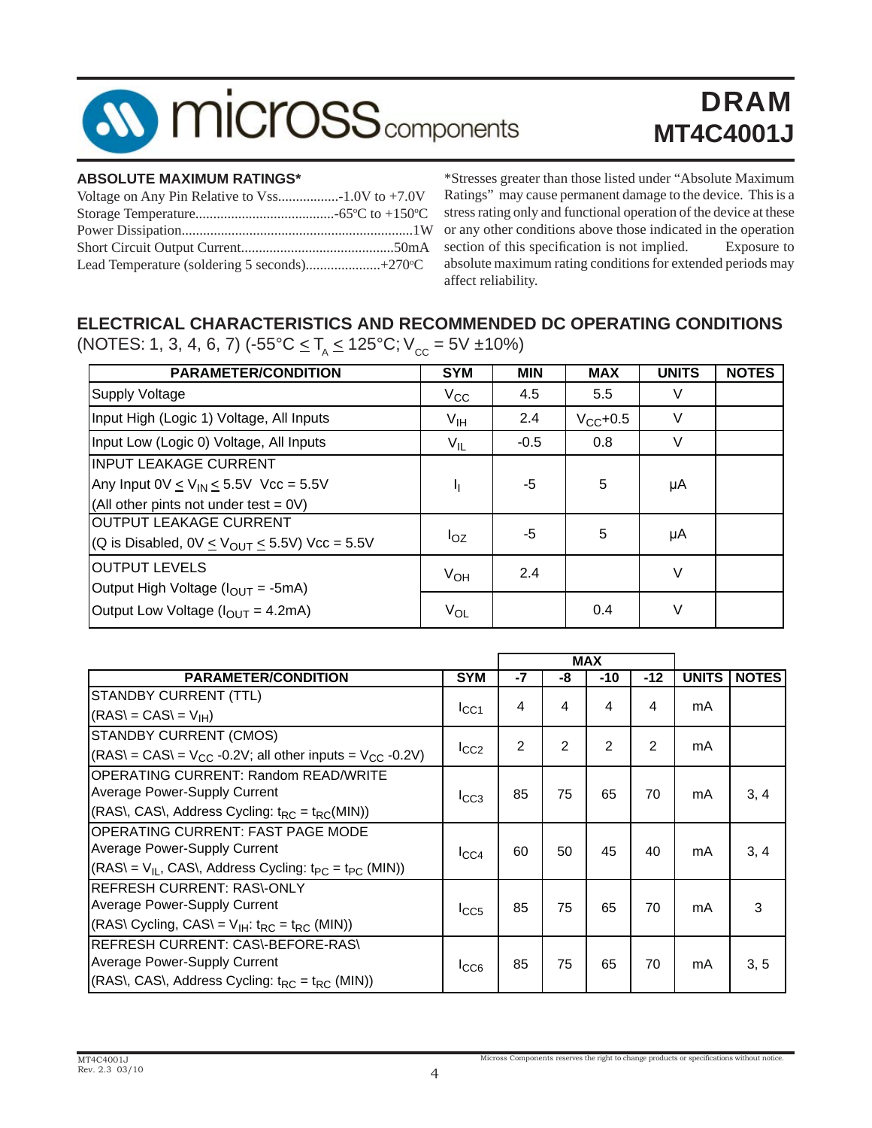

#### **ABSOLUTE MAXIMUM RATINGS\***

\*Stresses greater than those listed under "Absolute Maximum Ratings" may cause permanent damage to the device. This is a stress rating only and functional operation of the device at these or any other conditions above those indicated in the operation section of this specification is not implied. Exposure to absolute maximum rating conditions for extended periods may affect reliability.

### **ELECTRICAL CHARACTERISTICS AND RECOMMENDED DC OPERATING CONDITIONS**

(NOTES: 1, 3, 4, 6, 7) ( $-55^{\circ}C \leq T_A \leq 125^{\circ}C$ ;  $V_{cc} = 5V \pm 10\%$ )

| <b>PARAMETER/CONDITION</b>                                                                                          | <b>SYM</b>      | <b>MIN</b> | <b>MAX</b>    | <b>UNITS</b> | <b>NOTES</b> |
|---------------------------------------------------------------------------------------------------------------------|-----------------|------------|---------------|--------------|--------------|
| <b>Supply Voltage</b>                                                                                               | $V_{\rm CC}$    | 4.5        | 5.5           | V            |              |
| Input High (Logic 1) Voltage, All Inputs                                                                            | V <sub>IH</sub> | 2.4        | $V_{CC}$ +0.5 | V            |              |
| Input Low (Logic 0) Voltage, All Inputs                                                                             | $V_{IL}$        | $-0.5$     | 0.8           | $\vee$       |              |
| IINPUT LEAKAGE CURRENT<br>Any Input $0V \le V_{IN} \le 5.5V$ Vcc = 5.5V<br>(All other pints not under test = $0V$ ) | ħ               | -5         | 5             | μA           |              |
| <b>OUTPUT LEAKAGE CURRENT</b><br>(Q is Disabled, $0V \leq V_{\text{OUT}} \leq 5.5V$ ) Vcc = 5.5V                    | $I_{OZ}$        | -5         | 5             | μA           |              |
| <b>OUTPUT LEVELS</b><br>Output High Voltage $(I_{OUT} = -5mA)$                                                      | $V_{OH}$        | 2.4        |               | $\vee$       |              |
| Output Low Voltage ( $I_{OUT} = 4.2 \text{mA}$ )                                                                    | Vol             |            | 0.4           | $\vee$       |              |

|                                                                         |                 |    |                | <b>MAX</b> |                |              |              |
|-------------------------------------------------------------------------|-----------------|----|----------------|------------|----------------|--------------|--------------|
| <b>PARAMETER/CONDITION</b>                                              | <b>SYM</b>      | -7 | -8             | $-10$      | $-12$          | <b>UNITS</b> | <b>NOTES</b> |
| STANDBY CURRENT (TTL)                                                   |                 | 4  | 4              | 4          | 4              |              |              |
| $(RAS) = CAS = VIH$                                                     | ICC1            |    |                |            |                | mA           |              |
| STANDBY CURRENT (CMOS)                                                  |                 | 2  | $\mathfrak{p}$ | 2          | $\mathfrak{p}$ |              |              |
| $(RAS) = CAS = V_{CC} -0.2V$ ; all other inputs = $V_{CC} -0.2V$ )      | $I_{CC2}$       |    |                |            |                | mA           |              |
| <b>OPERATING CURRENT: Random READ/WRITE</b>                             |                 |    |                |            |                |              |              |
| <b>Average Power-Supply Current</b>                                     | $I_{CC3}$       | 85 | 75             | 65         | 70             | mA           | 3, 4         |
| $(RAS\,$ , CAS $\lambda$ , Address Cycling: $t_{RC} = t_{RC}(MIN)$      |                 |    |                |            |                |              |              |
| OPERATING CURRENT: FAST PAGE MODE                                       |                 |    |                |            |                |              |              |
| Average Power-Supply Current                                            | $I_{\rm CC4}$   | 60 | 50             | 45         | 40             | mA           | 3, 4         |
| $(RAS) = V_{IL}$ , CAS\, Address Cycling: $t_{PC} = t_{PC}$ (MIN))      |                 |    |                |            |                |              |              |
| <b>REFRESH CURRENT: RAS\-ONLY</b>                                       |                 |    |                |            |                |              |              |
| <b>Average Power-Supply Current</b>                                     | $_{\text{LCG}}$ | 85 | 75             | 65         | 70             | mA           | 3            |
| $(RAS\ Cycling, CAS = VIH: tRC = tRC (MIN))$                            |                 |    |                |            |                |              |              |
| REFRESH CURRENT: CAS\-BEFORE-RAS\                                       |                 |    |                |            |                |              |              |
| Average Power-Supply Current                                            | $_{\text{LCG}}$ | 85 | 75             | 65         | 70             | mA           | 3, 5         |
| $(RAS\,$ , CAS $\backslash$ , Address Cycling: $t_{RC} = t_{RC}$ (MIN)) |                 |    |                |            |                |              |              |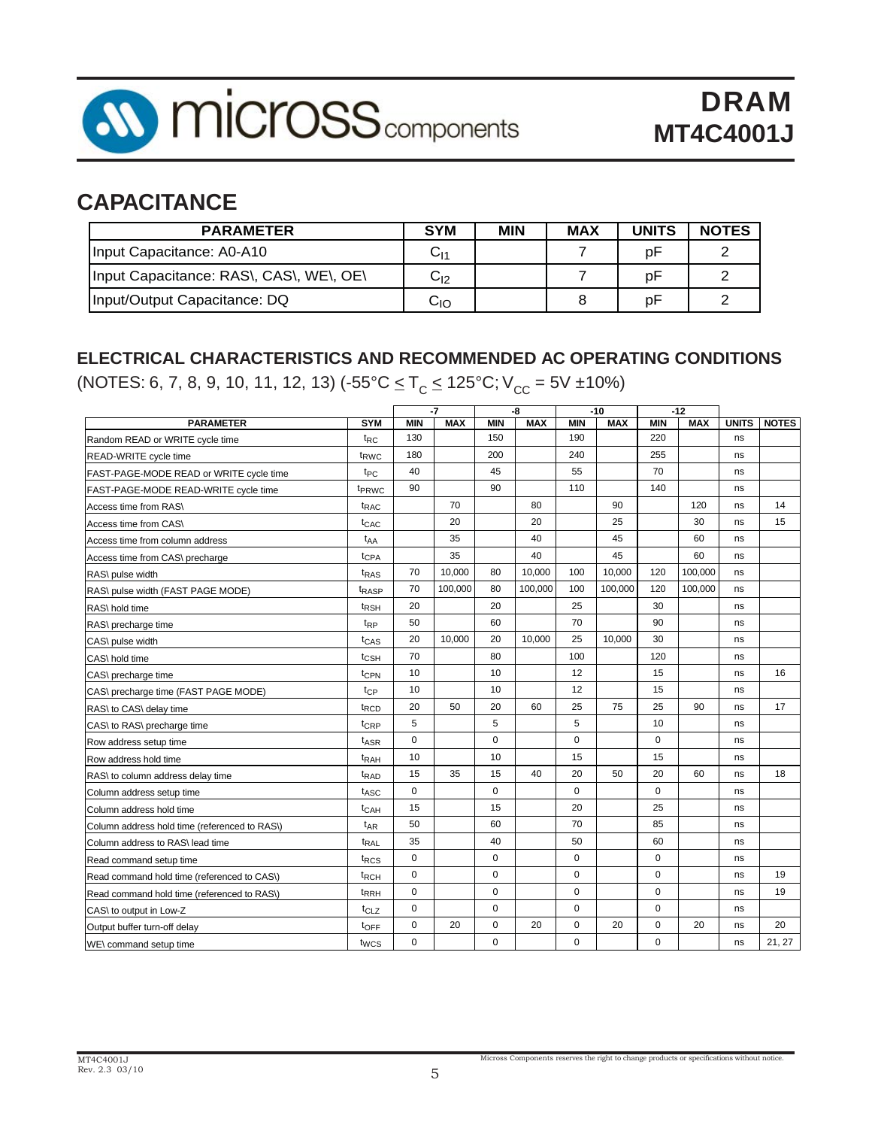

## **CAPACITANCE**

| <b>PARAMETER</b>                        | <b>SYM</b>   | <b>MIN</b> | <b>MAX</b> | <b>UNITS</b> | <b>NOTES</b> |
|-----------------------------------------|--------------|------------|------------|--------------|--------------|
| Input Capacitance: A0-A10               | $\rm C_{11}$ |            |            | D۲           |              |
| Input Capacitance: RAS\, CAS\, WE\, OE\ | ∨լշ          |            |            |              |              |
| Input/Output Capacitance: DQ            | סו           |            |            |              |              |

### **ELECTRICAL CHARACTERISTICS AND RECOMMENDED AC OPERATING CONDITIONS**

(NOTES: 6, 7, 8, 9, 10, 11, 12, 13)  $(-55^{\circ}C \le T_{C} \le 125^{\circ}C; V_{CC} = 5V \pm 10\%)$ 

|                                               | $-7$<br>$-8$      |             |            | $-10$       |            | $-12$       |            |             |            |              |              |
|-----------------------------------------------|-------------------|-------------|------------|-------------|------------|-------------|------------|-------------|------------|--------------|--------------|
| <b>PARAMETER</b>                              | <b>SYM</b>        | <b>MIN</b>  | <b>MAX</b> | <b>MIN</b>  | <b>MAX</b> | <b>MIN</b>  | <b>MAX</b> | <b>MIN</b>  | <b>MAX</b> | <b>UNITS</b> | <b>NOTES</b> |
| Random READ or WRITE cycle time               | $t_{RC}$          | 130         |            | 150         |            | 190         |            | 220         |            | ns           |              |
| READ-WRITE cycle time                         | t <sub>RWC</sub>  | 180         |            | 200         |            | 240         |            | 255         |            | ns           |              |
| FAST-PAGE-MODE READ or WRITE cycle time       | t <sub>PC</sub>   | 40          |            | 45          |            | 55          |            | 70          |            | ns           |              |
| FAST-PAGE-MODE READ-WRITE cycle time          | t <sub>PRWC</sub> | 90          |            | 90          |            | 110         |            | 140         |            | ns           |              |
| Access time from RAS\                         | t <sub>RAC</sub>  |             | 70         |             | 80         |             | 90         |             | 120        | ns           | 14           |
| Access time from CAS\                         | <sup>t</sup> CAC  |             | 20         |             | 20         |             | 25         |             | 30         | ns           | 15           |
| Access time from column address               | t <sub>AA</sub>   |             | 35         |             | 40         |             | 45         |             | 60         | ns           |              |
| Access time from CAS\ precharge               | t <sub>CPA</sub>  |             | 35         |             | 40         |             | 45         |             | 60         | ns           |              |
| RAS\ pulse width                              | t <sub>RAS</sub>  | 70          | 10,000     | 80          | 10,000     | 100         | 10,000     | 120         | 100,000    | ns           |              |
| RAS\ pulse width (FAST PAGE MODE)             | t <sub>RASP</sub> | 70          | 100,000    | 80          | 100.000    | 100         | 100,000    | 120         | 100,000    | ns           |              |
| RAS\ hold time                                | <sup>t</sup> RSH  | 20          |            | 20          |            | 25          |            | 30          |            | ns           |              |
| RAS\ precharge time                           | t <sub>RP</sub>   | 50          |            | 60          |            | 70          |            | 90          |            | ns           |              |
| CAS\ pulse width                              | t <sub>CAS</sub>  | 20          | 10,000     | 20          | 10,000     | 25          | 10,000     | 30          |            | ns           |              |
| CAS\ hold time                                | t <sub>CSH</sub>  | 70          |            | 80          |            | 100         |            | 120         |            | ns           |              |
| CAS\ precharge time                           | t <sub>CPN</sub>  | 10          |            | 10          |            | 12          |            | 15          |            | ns           | 16           |
| CAS\ precharge time (FAST PAGE MODE)          | tcp               | 10          |            | 10          |            | 12          |            | 15          |            | ns           |              |
| RAS\ to CAS\ delay time                       | t <sub>RCD</sub>  | 20          | 50         | 20          | 60         | 25          | 75         | 25          | 90         | ns           | 17           |
| CAS\ to RAS\ precharge time                   | t <sub>CRP</sub>  | 5           |            | 5           |            | 5           |            | 10          |            | ns           |              |
| Row address setup time                        | t <sub>ASR</sub>  | $\pmb{0}$   |            | $\mathbf 0$ |            | 0           |            | $\mathbf 0$ |            | ns           |              |
| Row address hold time                         | <sup>t</sup> RAH  | 10          |            | 10          |            | 15          |            | 15          |            | ns           |              |
| RAS\ to column address delay time             | t <sub>RAD</sub>  | 15          | 35         | 15          | 40         | 20          | 50         | 20          | 60         | ns           | 18           |
| Column address setup time                     | t <sub>ASC</sub>  | $\mathbf 0$ |            | $\mathbf 0$ |            | $\mathbf 0$ |            | $\mathbf 0$ |            | ns           |              |
| Column address hold time                      | t <sub>CAH</sub>  | 15          |            | 15          |            | 20          |            | 25          |            | ns           |              |
| Column address hold time (referenced to RAS\) | $t_{AR}$          | 50          |            | 60          |            | 70          |            | 85          |            | ns           |              |
| Column address to RAS\lead time               | t <sub>RAL</sub>  | 35          |            | 40          |            | 50          |            | 60          |            | ns           |              |
| Read command setup time                       | t <sub>RCS</sub>  | $\pmb{0}$   |            | $\mathbf 0$ |            | 0           |            | $\mathbf 0$ |            | ns           |              |
| Read command hold time (referenced to CAS\)   | t <sub>RCH</sub>  | $\mathbf 0$ |            | $\mathbf 0$ |            | $\mathbf 0$ |            | 0           |            | ns           | 19           |
| Read command hold time (referenced to RAS)    | <sup>t</sup> RRH  | $\mathbf 0$ |            | $\mathbf 0$ |            | $\mathbf 0$ |            | 0           |            | ns           | 19           |
| CAS\ to output in Low-Z                       | t <sub>CLZ</sub>  | $\mathbf 0$ |            | $\mathbf 0$ |            | 0           |            | $\mathbf 0$ |            | ns           |              |
| Output buffer turn-off delay                  | toFF              | $\mathbf 0$ | 20         | $\mathbf 0$ | 20         | $\mathbf 0$ | 20         | 0           | 20         | ns           | 20           |
| WE\ command setup time                        | twcs              | $\mathbf 0$ |            | $\mathbf 0$ |            | $\mathbf 0$ |            | 0           |            | ns           | 21, 27       |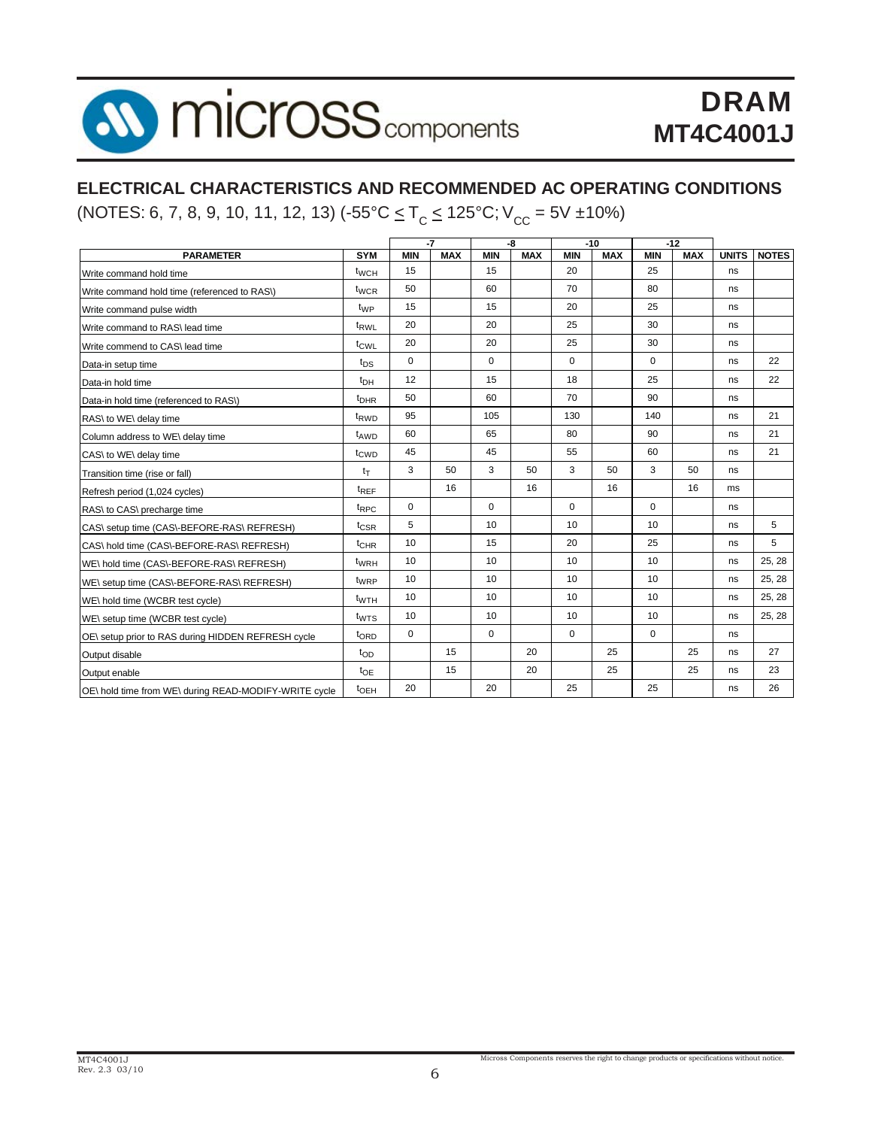

### **ELECTRICAL CHARACTERISTICS AND RECOMMENDED AC OPERATING CONDITIONS**

(NOTES: 6, 7, 8, 9, 10, 11, 12, 13)  $(-55^{\circ}C \le T_{C} \le 125^{\circ}C; V_{CC} = 5V \pm 10\%)$ 

|                                                       |                             |             | $-7$       |                  | -8         |            | $-10$      |            | $-12$      |              |              |
|-------------------------------------------------------|-----------------------------|-------------|------------|------------------|------------|------------|------------|------------|------------|--------------|--------------|
| <b>PARAMETER</b>                                      | <b>SYM</b>                  | <b>MIN</b>  | <b>MAX</b> | <b>MIN</b>       | <b>MAX</b> | <b>MIN</b> | <b>MAX</b> | <b>MIN</b> | <b>MAX</b> | <b>UNITS</b> | <b>NOTES</b> |
| Write command hold time                               | t <sub>WCH</sub>            | 15          |            | 15               |            | 20         |            | 25         |            | ns           |              |
| Write command hold time (referenced to RAS\)          | t <sub>WCR</sub>            | 50          |            | 60               |            | 70         |            | 80         |            | ns           |              |
| Write command pulse width                             | t <sub>WP</sub>             | 15          |            | 15               |            | 20         |            | 25         |            | ns           |              |
| Write command to RAS\ lead time                       | t <sub>RWL</sub>            | 20          |            | 20               |            | 25         |            | 30         |            | ns           |              |
| Write commend to CAS\ lead time                       | t <sub>CWL</sub>            | 20          |            | 20               |            | 25         |            | 30         |            | ns           |              |
| Data-in setup time                                    | $t_{DS}$                    | $\mathbf 0$ |            | $\Omega$         |            | $\Omega$   |            | $\Omega$   |            | ns           | 22           |
| Data-in hold time                                     | t <sub>DH</sub>             | 12          |            | 15               |            | 18         |            | 25         |            | ns           | 22           |
| Data-in hold time (referenced to RAS\)                | <sup>t</sup> <sub>DHR</sub> | 50          |            | 60               |            | 70         |            | 90         |            | ns           |              |
| RAS\ to WE\ delay time                                | t <sub>RWD</sub>            | 95          |            | 105              |            | 130        |            | 140        |            | ns           | 21           |
| Column address to WE\ delay time                      | t <sub>AWD</sub>            | 60          |            | 65               |            | 80         |            | 90         |            | ns           | 21           |
| CAS\ to WE\ delay time                                | t <sub>CWD</sub>            | 45          |            | 45               |            | 55         |            | 60         |            | ns           | 21           |
| Transition time (rise or fall)                        | $t_T$                       | 3           | 50         | 3                | 50         | 3          | 50         | 3          | 50         | ns           |              |
| Refresh period (1,024 cycles)                         | $t_{REF}$                   |             | 16         |                  | 16         |            | 16         |            | 16         | ms           |              |
| RAS\ to CAS\ precharge time                           | $t_{RPC}$                   | $\mathbf 0$ |            | $\Omega$         |            | $\Omega$   |            | $\Omega$   |            | ns           |              |
| CAS\ setup time (CAS\-BEFORE-RAS\ REFRESH)            | t <sub>CSR</sub>            | 5           |            | 10               |            | 10         |            | 10         |            | ns           | 5            |
| CAS\ hold time (CAS\-BEFORE-RAS\ REFRESH)             | $t_{\text{CHR}}$            | 10          |            | 15               |            | 20         |            | 25         |            | ns           | 5            |
| WE\ hold time (CAS\-BEFORE-RAS\ REFRESH)              | t <sub>WRH</sub>            | 10          |            | 10               |            | 10         |            | 10         |            | ns           | 25, 28       |
| WE\ setup time (CAS\-BEFORE-RAS\ REFRESH)             | t <sub>WRP</sub>            | 10          |            | 10               |            | 10         |            | 10         |            | ns           | 25, 28       |
| WE\ hold time (WCBR test cycle)                       | $t_{WTH}$                   | 10          |            | 10               |            | 10         |            | 10         |            | ns           | 25, 28       |
| WE\ setup time (WCBR test cycle)                      | $t_{WTS}$                   | 10          |            | 10 <sup>10</sup> |            | 10         |            | 10         |            | ns           | 25, 28       |
| OE\ setup prior to RAS during HIDDEN REFRESH cycle    | t <sub>ORD</sub>            | $\mathbf 0$ |            | $\Omega$         |            | $\Omega$   |            | $\Omega$   |            | ns           |              |
| Output disable                                        | top                         |             | 15         |                  | 20         |            | 25         |            | 25         | ns           | 27           |
| Output enable                                         | $t_{OE}$                    |             | 15         |                  | 20         |            | 25         |            | 25         | ns           | 23           |
| OE\ hold time from WE\ during READ-MODIFY-WRITE cycle | t <sub>OEH</sub>            | 20          |            | 20               |            | 25         |            | 25         |            | ns           | 26           |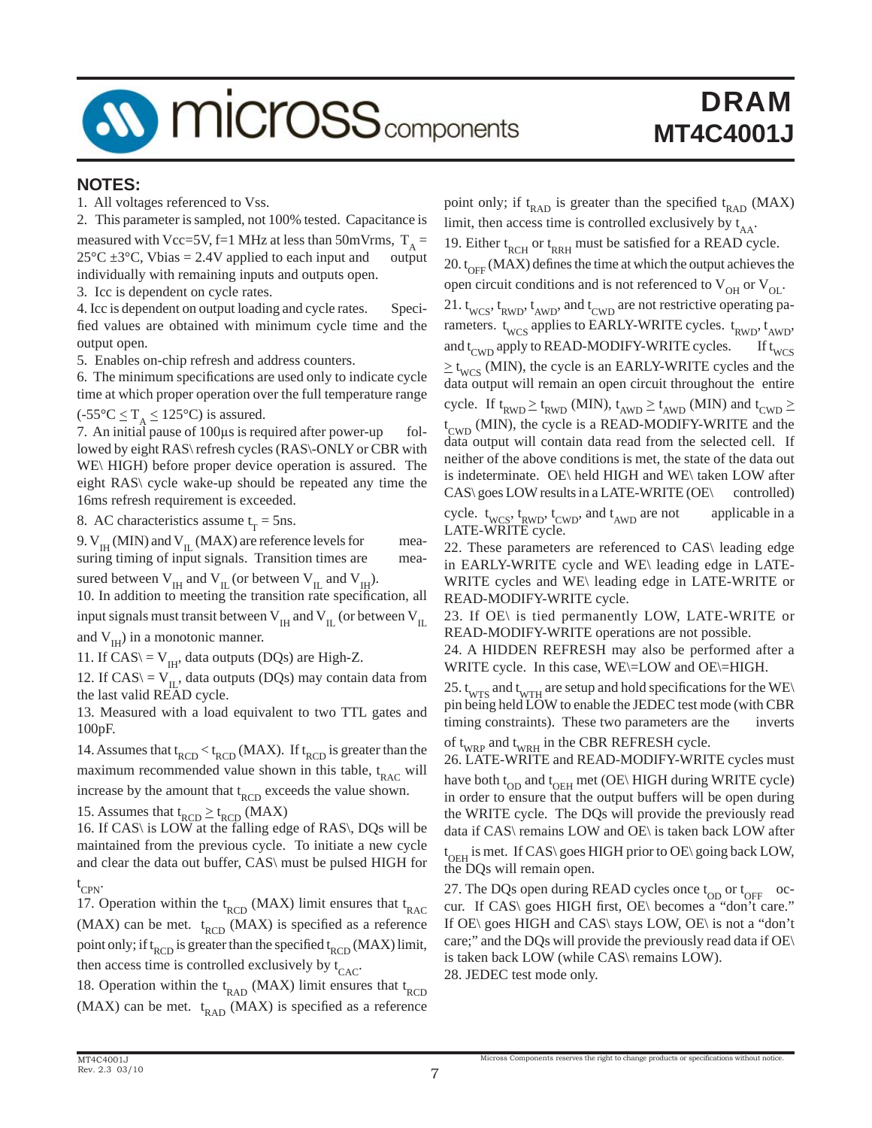

#### **NOTES:**

1. All voltages referenced to Vss.

2. This parameter is sampled, not 100% tested. Capacitance is measured with Vcc=5V, f=1 MHz at less than 50mVrms,  $T_A = 25^{\circ}C \pm 3^{\circ}C$ , Vbias = 2.4V applied to each input and output  $25^{\circ}$ C ±3 $^{\circ}$ C, Vbias = 2.4V applied to each input and individually with remaining inputs and outputs open.

3. Icc is dependent on cycle rates.

4. Icc is dependent on output loading and cycle rates. Specified values are obtained with minimum cycle time and the output open.

5. Enables on-chip refresh and address counters.

6. The minimum specifications are used only to indicate cycle time at which proper operation over the full temperature range

 $(-55^{\circ}C \leq T_{A} \leq 125^{\circ}C)$  is assured.

7. An initial pause of 100μs is required after power-up followed by eight RAS\ refresh cycles (RAS\-ONLY or CBR with WE\ HIGH) before proper device operation is assured. The eight RAS\ cycle wake-up should be repeated any time the 16ms refresh requirement is exceeded.

8. AC characteristics assume  $t_T = 5$ ns.

9.  $V_{\text{IH}}$  (MIN) and  $V_{\text{IL}}$  (MAX) are reference levels for measuring timing of input signals. Transition times are measuring timing of input signals. Transition times are sured between  $V_{II}$  and  $V_{II}$  (or between  $V_{II}$  and  $V_{II}$ ).

10. In addition to meeting the transition rate specification, all input signals must transit between  $V_{\text{H}}$  and  $V_{\text{H}}$  (or between  $V_{\text{H}}$ ) and  $V_{\text{H}}$ ) in a monotonic manner.

11. If  $CAS \rangle = V_{IH}$ , data outputs (DQs) are High-Z.

12. If  $CAS \mid V_{\text{II}}$ , data outputs (DQs) may contain data from the last valid READ cycle.

13. Measured with a load equivalent to two TTL gates and 100pF.

14. Assumes that  $t_{RCD} < t_{RCD}$  (MAX). If  $t_{RCD}$  is greater than the maximum recommended value shown in this table,  $t_{RAC}$  will increase by the amount that  $t_{\text{RCD}}$  exceeds the value shown.

15. Assumes that  $t_{RCD} \geq t_{RCD}$  (MAX)

16. If CAS\ is LOW at the falling edge of RAS\, DQs will be maintained from the previous cycle. To initiate a new cycle and clear the data out buffer, CAS\ must be pulsed HIGH for t CPN.

17. Operation within the  $t_{\text{RCD}}$  (MAX) limit ensures that  $t_{\text{RAC}}$ (MAX) can be met.  $t_{RCD}$  (MAX) is specified as a reference point only; if  $t_{\text{RCD}}$  is greater than the specified  $t_{\text{RCD}}$  (MAX) limit, then access time is controlled exclusively by  $t_{CAC}$ .

18. Operation within the  $t_{RAD}$  (MAX) limit ensures that  $t_{RCD}$ (MAX) can be met.  $t_{RAD}$  (MAX) is specified as a reference

point only; if  $t_{\text{RAD}}$  is greater than the specified  $t_{\text{RAD}}$  (MAX) limit, then access time is controlled exclusively by  $t_{AA}$ . 19. Either  $t_{RCH}$  or  $t_{RRH}$  must be satisfied for a READ cycle. 20.  $t_{\text{OFF}}$  (MAX) defines the time at which the output achieves the open circuit conditions and is not referenced to  $V_{OH}$  or  $V_{OL}$ . 21.  $t_{WCS}$ ,  $t_{RWD}$ ,  $t_{AWD}$ , and  $t_{CWD}$  are not restrictive operating parameters.  $t_{WCS}$  applies to EARLY-WRITE cycles.  $t_{RWD}$ ,  $t_{AWD}$ , and  $t_{\text{CWD}}$  apply to READ-MODIFY-WRITE cycles. If  $t_{\text{WCS}}$  $\geq t_{WCS}$  (MIN), the cycle is an EARLY-WRITE cycles and the data output will remain an open circuit throughout the entire

cycle. If  $t_{RWD} \ge t_{RWD}$  (MIN),  $t_{AWD} \ge t_{AWD}$  (MIN) and  $t_{CWD} \ge t_{AWD}$ t<sub>CWD</sub> (MIN), the cycle is a READ-MODIFY-WRITE and the data output will contain data read from the selected cell. If neither of the above conditions is met, the state of the data out is indeterminate. OE\ held HIGH and WE\ taken LOW after CAS\ goes LOW results in a LATE-WRITE (OE\ controlled)

cycle.  $t_{WCS}$ ,  $t_{RWD}$ ,  $t_{CWD}$ , and  $t_{AWD}$  are not applicable in a LATE-WRITE cycle.

22. These parameters are referenced to CAS\ leading edge in EARLY-WRITE cycle and WE\ leading edge in LATE-WRITE cycles and WE\ leading edge in LATE-WRITE or READ-MODIFY-WRITE cycle.

23. If OE\ is tied permanently LOW, LATE-WRITE or READ-MODIFY-WRITE operations are not possible.

24. A HIDDEN REFRESH may also be performed after a WRITE cycle. In this case, WE\=LOW and OE\=HIGH.

25.  $t_{WTS}$  and  $t_{WTH}$  are setup and hold specifications for the WE\ pin being held LOW to enable the JEDEC test mode (with CBR timing constraints). These two parameters are the inverts of  $t_{WRP}$  and  $t_{WRH}$  in the CBR REFRESH cycle.

26. LATE-WRITE and READ-MODIFY-WRITE cycles must

have both  $t_{OD}$  and  $t_{OEH}$  met (OE\ HIGH during WRITE cycle) in order to ensure that the output buffers will be open during the WRITE cycle. The DQs will provide the previously read data if CAS\ remains LOW and OE\ is taken back LOW after t<sub>OEH</sub> is met. If CAS\ goes HIGH prior to OE\ going back LOW, the DQs will remain open.

27. The DQs open during READ cycles once  $t_{OD}$  or  $t_{OFF}$  occur. If CAS\ goes HIGH first, OE\ becomes a "don't care." If OE\ goes HIGH and CAS\ stays LOW, OE\ is not a "don't care;" and the DQs will provide the previously read data if OE\ is taken back LOW (while CAS\ remains LOW). 28. JEDEC test mode only.

Micross Components reserves the right to change products or specifications without notice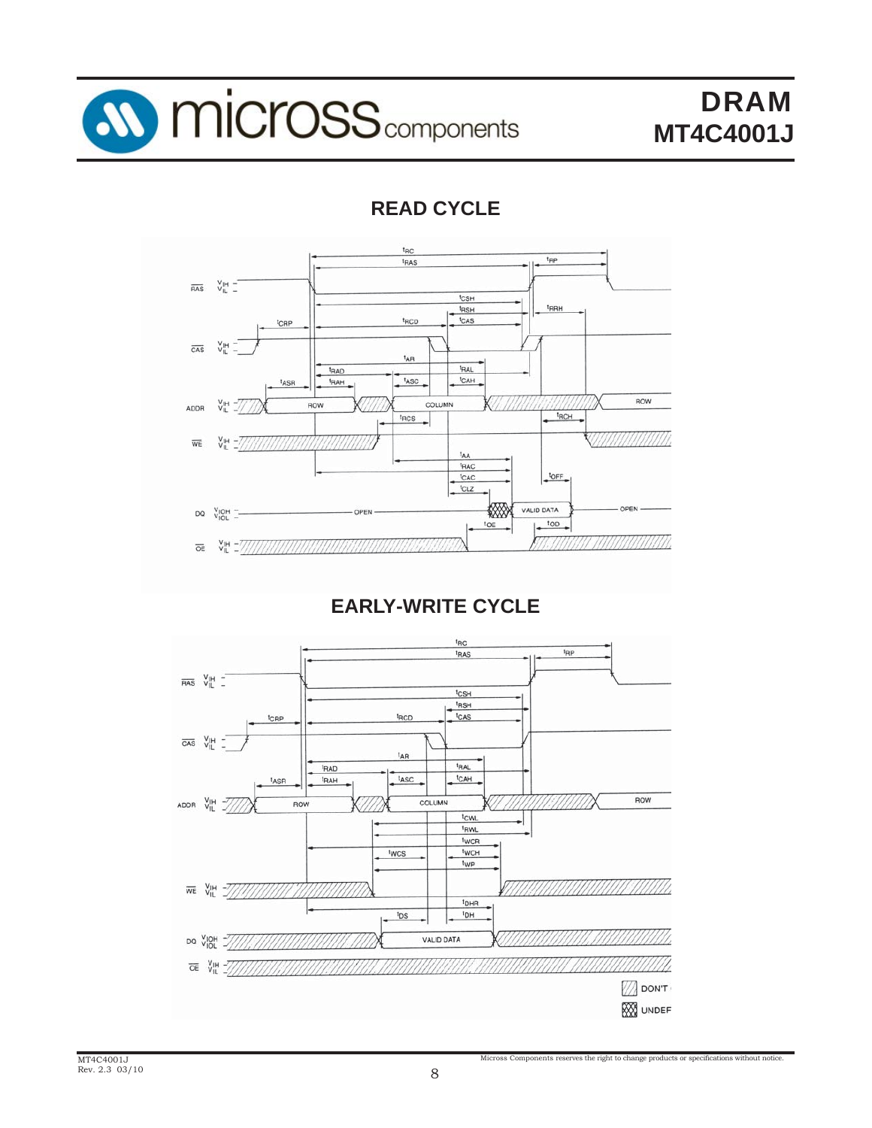

## **READ CYCLE**



**EARLY-WRITE CYCLE**

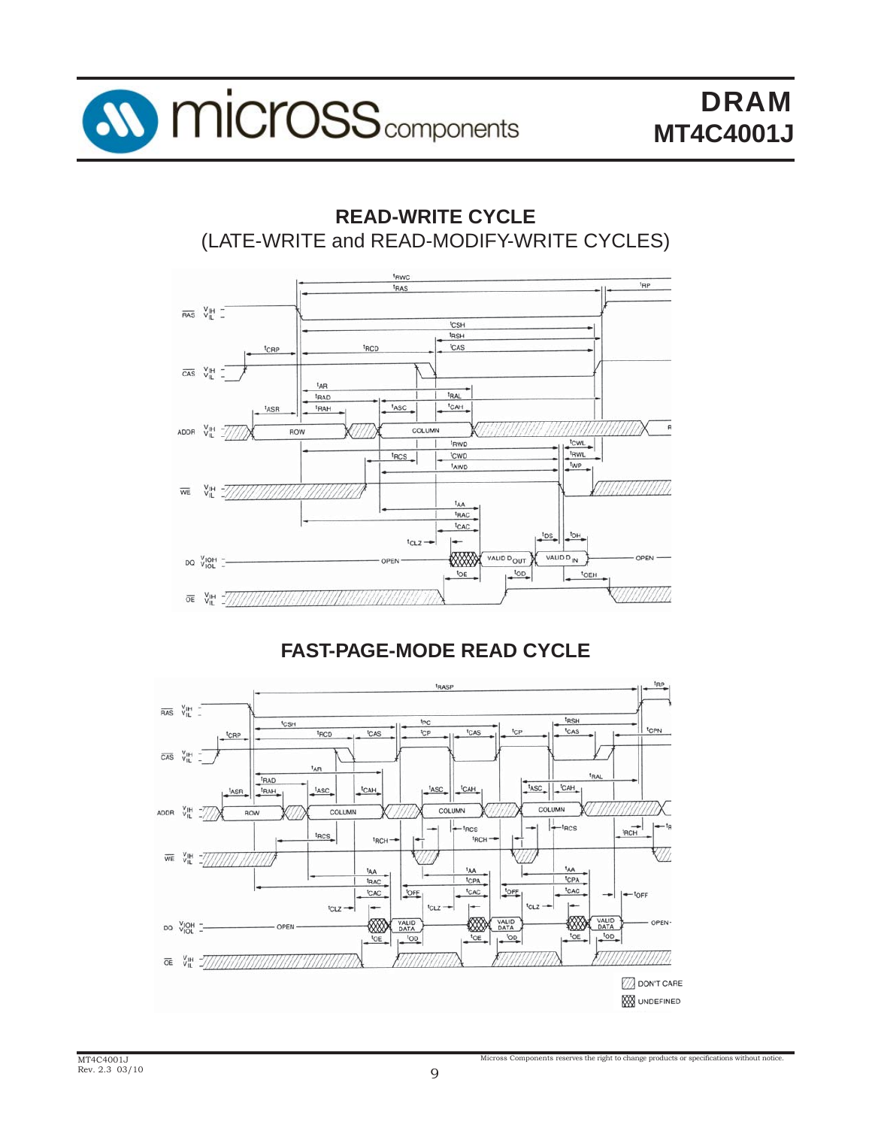

### **READ-WRITE CYCLE** (LATE-WRITE and READ-MODIFY-WRITE CYCLES)



### **FAST-PAGE-MODE READ CYCLE**

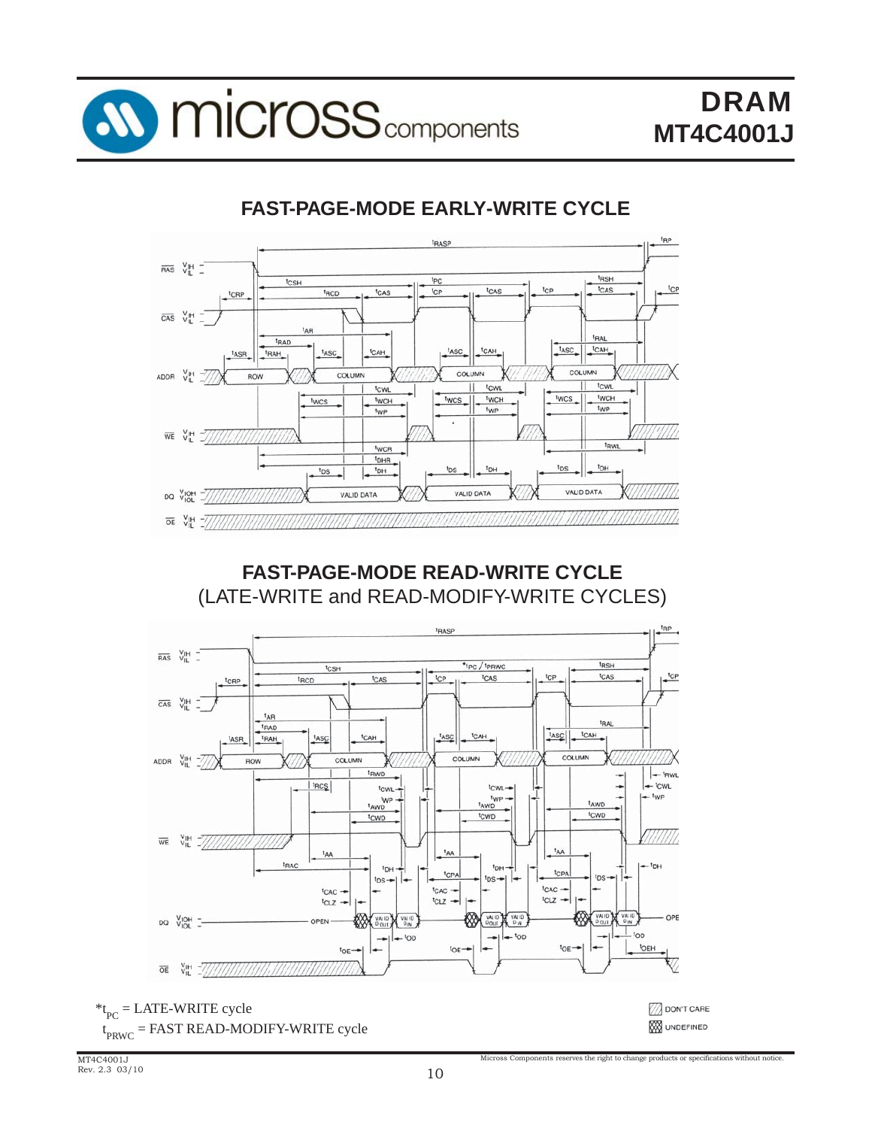

### **FAST-PAGE-MODE EARLY-WRITE CYCLE**



**FAST-PAGE-MODE READ-WRITE CYCLE** (LATE-WRITE and READ-MODIFY-WRITE CYCLES)



 $t_{PRWC}$  = FAST READ-MODIFY-WRITE cycle

**2** DON'T CARE **W**UNDEFINED

Micross Components reserves the right to change products or specifications without notice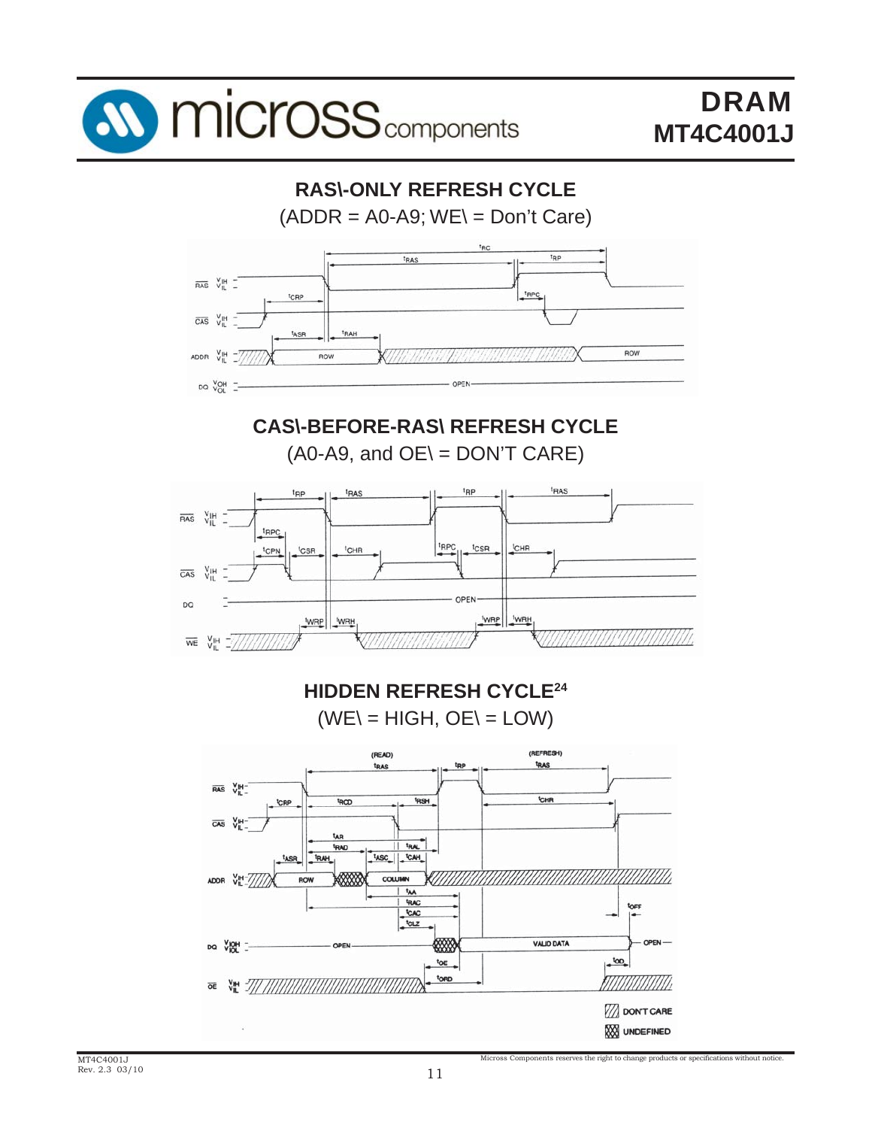



MT4C4001J Rev. 2.3 03/10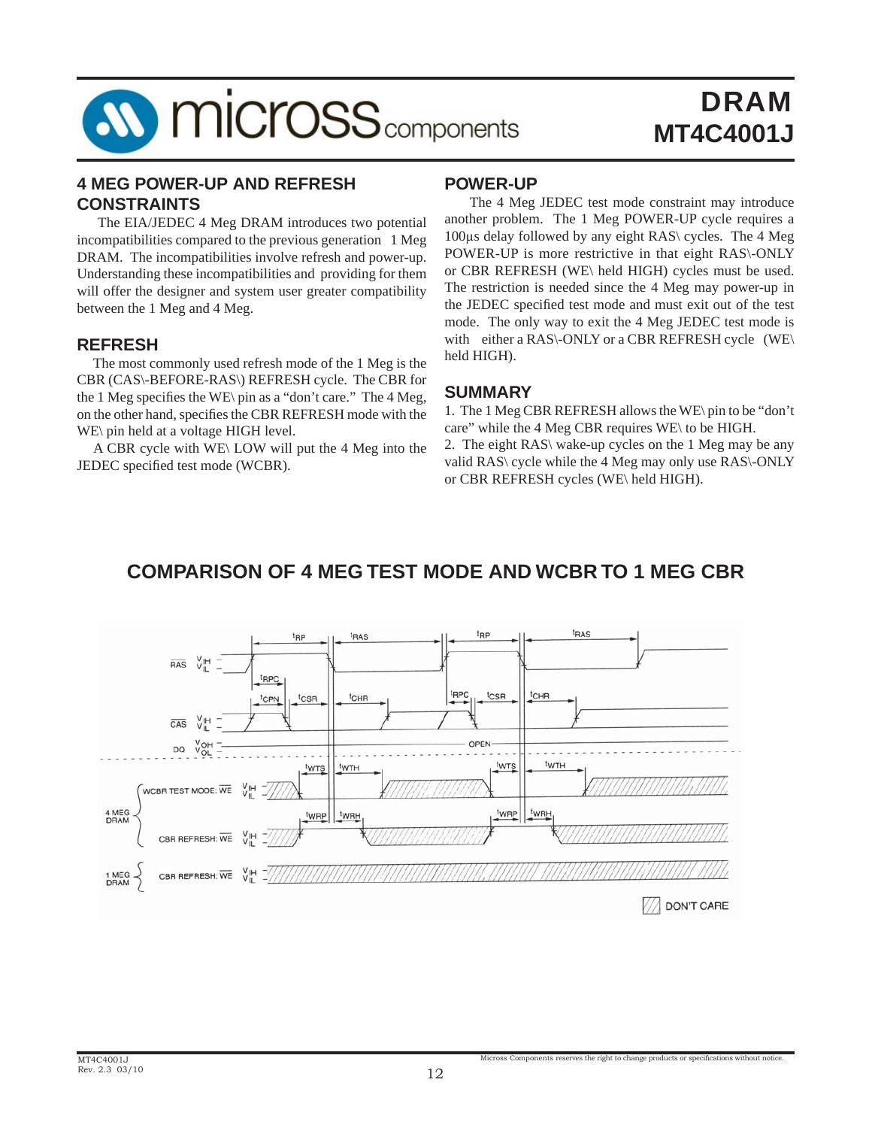

#### **4 MEG POWER-UP AND REFRESH CONSTRAINTS**

 The EIA/JEDEC 4 Meg DRAM introduces two potential incompatibilities compared to the previous generation 1 Meg DRAM. The incompatibilities involve refresh and power-up. Understanding these incompatibilities and providing for them will offer the designer and system user greater compatibility between the 1 Meg and 4 Meg.

#### **REFRESH**

 The most commonly used refresh mode of the 1 Meg is the CBR (CAS\-BEFORE-RAS\) REFRESH cycle. The CBR for the 1 Meg specifies the WE\ pin as a "don't care." The 4 Meg, on the other hand, specifies the CBR REFRESH mode with the WE\ pin held at a voltage HIGH level.

 A CBR cycle with WE\ LOW will put the 4 Meg into the JEDEC specified test mode (WCBR).

#### **POWER-UP**

 The 4 Meg JEDEC test mode constraint may introduce another problem. The 1 Meg POWER-UP cycle requires a 100μs delay followed by any eight RAS\ cycles. The 4 Meg POWER-UP is more restrictive in that eight RAS\-ONLY or CBR REFRESH (WE\ held HIGH) cycles must be used. The restriction is needed since the 4 Meg may power-up in the JEDEC specified test mode and must exit out of the test mode. The only way to exit the 4 Meg JEDEC test mode is with either a RAS\-ONLY or a CBR REFRESH cycle (WE\ held HIGH).

#### **SUMMARY**

1. The 1 Meg CBR REFRESH allows the WE\ pin to be "don't care" while the 4 Meg CBR requires WE\ to be HIGH.

2. The eight RAS\ wake-up cycles on the 1 Meg may be any valid RAS\ cycle while the 4 Meg may only use RAS\-ONLY or CBR REFRESH cycles (WE\ held HIGH).

Micross Components reserves the right to change products or specifications without notice

### **COMPARISON OF 4 MEG TEST MODE AND WCBR TO 1 MEG CBR**

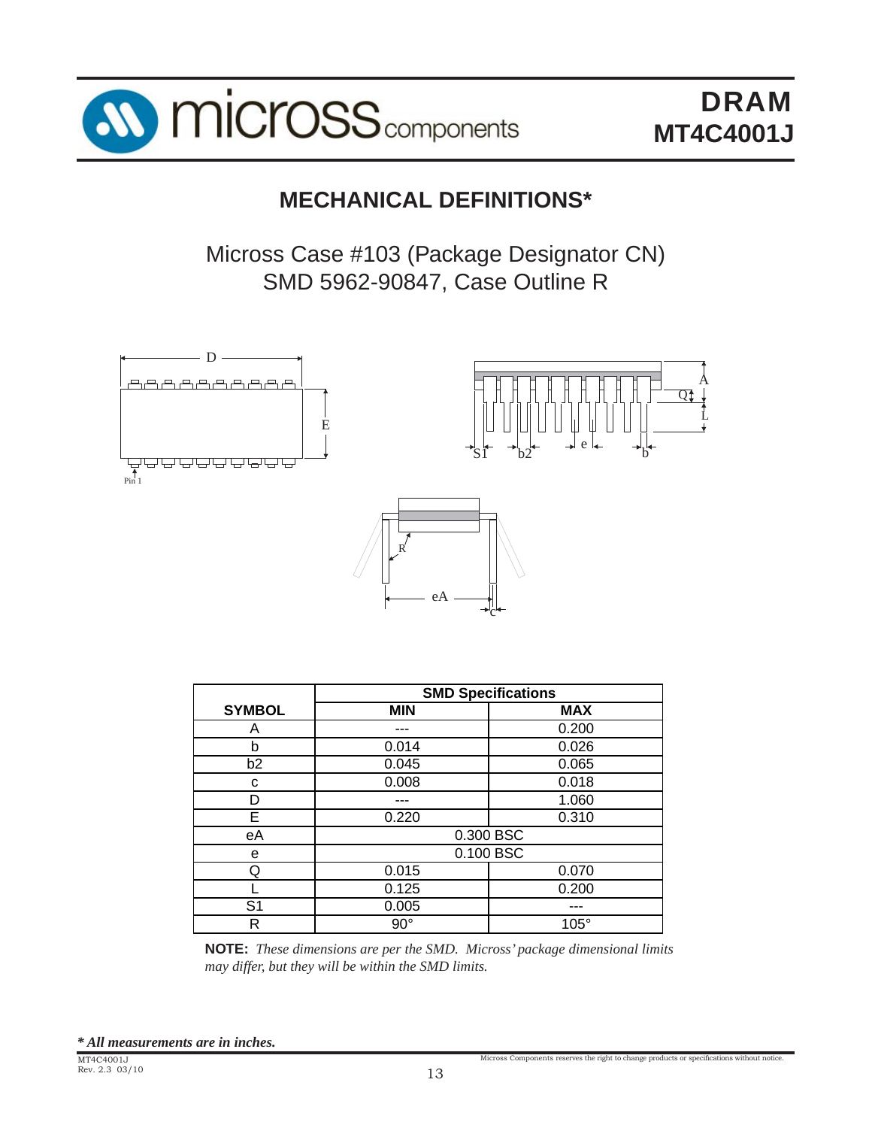

## **MECHANICAL DEFINITIONS\***

Micross Case #103 (Package Designator CN) SMD 5962-90847, Case Outline R





Micross Components reserves the right to change products or specifications without notice.



|                | <b>SMD Specifications</b> |             |  |  |  |  |
|----------------|---------------------------|-------------|--|--|--|--|
| <b>SYMBOL</b>  | <b>MIN</b>                | <b>MAX</b>  |  |  |  |  |
| A              |                           | 0.200       |  |  |  |  |
| b              | 0.014                     | 0.026       |  |  |  |  |
| b2             | 0.045                     | 0.065       |  |  |  |  |
| С              | 0.008                     | 0.018       |  |  |  |  |
| D              |                           | 1.060       |  |  |  |  |
| E              | 0.220                     | 0.310       |  |  |  |  |
| еA             |                           | 0.300 BSC   |  |  |  |  |
| e              |                           | 0.100 BSC   |  |  |  |  |
| Q              | 0.015                     | 0.070       |  |  |  |  |
|                | 0.125                     | 0.200       |  |  |  |  |
| S <sub>1</sub> | 0.005                     |             |  |  |  |  |
| R              | $90^{\circ}$              | $105^\circ$ |  |  |  |  |

**NOTE:** *These dimensions are per the SMD. Micross' package dimensional limits may differ, but they will be within the SMD limits.*

*\* All measurements are in inches.*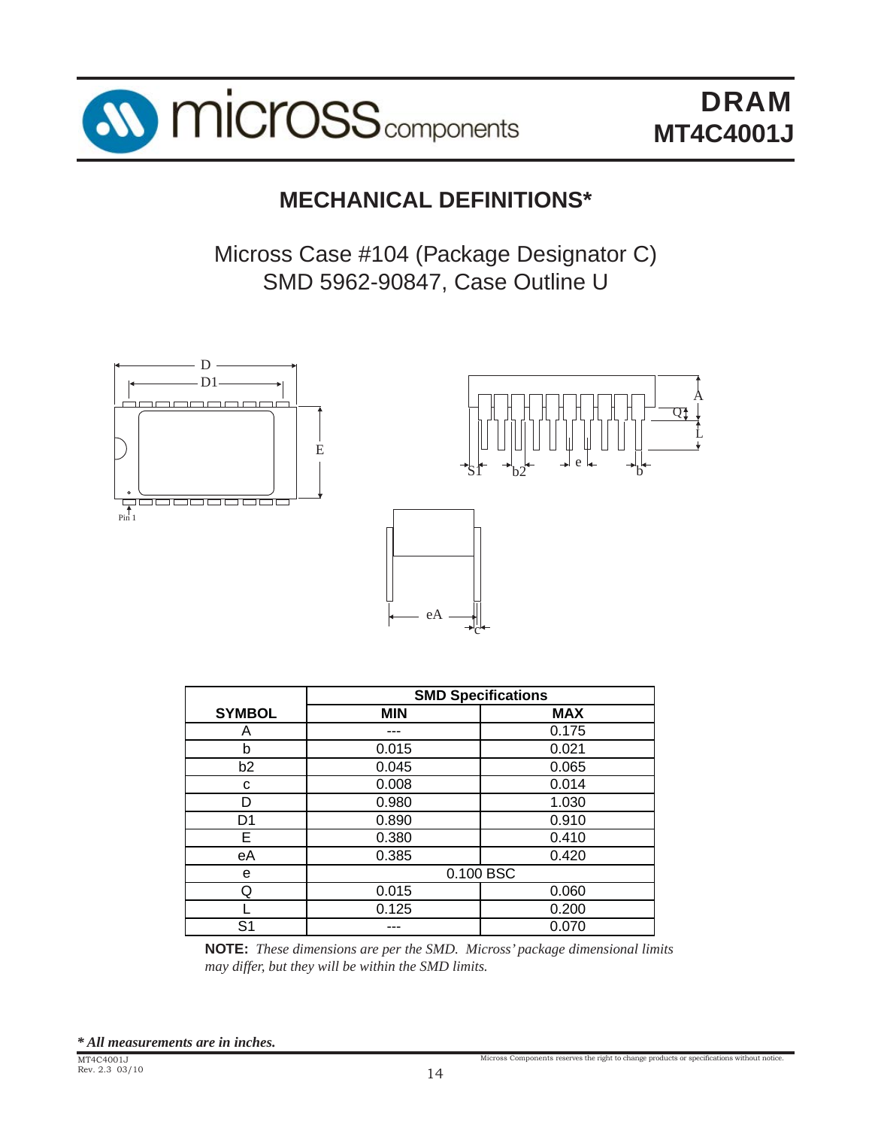

## **MECHANICAL DEFINITIONS\***

Micross Case #104 (Package Designator C) SMD 5962-90847, Case Outline U



|                | <b>SMD Specifications</b> |            |  |  |  |  |  |
|----------------|---------------------------|------------|--|--|--|--|--|
| <b>SYMBOL</b>  | <b>MIN</b>                | <b>MAX</b> |  |  |  |  |  |
| A              |                           | 0.175      |  |  |  |  |  |
| b              | 0.015                     | 0.021      |  |  |  |  |  |
| b2             | 0.045                     | 0.065      |  |  |  |  |  |
| C              | 0.008                     | 0.014      |  |  |  |  |  |
| D              | 0.980                     | 1.030      |  |  |  |  |  |
| D <sub>1</sub> | 0.890                     | 0.910      |  |  |  |  |  |
| Е              | 0.380                     | 0.410      |  |  |  |  |  |
| еA             | 0.385                     | 0.420      |  |  |  |  |  |
| e              |                           | 0.100 BSC  |  |  |  |  |  |
| Q              | 0.015                     | 0.060      |  |  |  |  |  |
|                | 0.125                     | 0.200      |  |  |  |  |  |
| S1             | 0.070                     |            |  |  |  |  |  |

**NOTE:** *These dimensions are per the SMD. Micross' package dimensional limits may differ, but they will be within the SMD limits.*

Micross Components reserves the right to change products or specifications without notice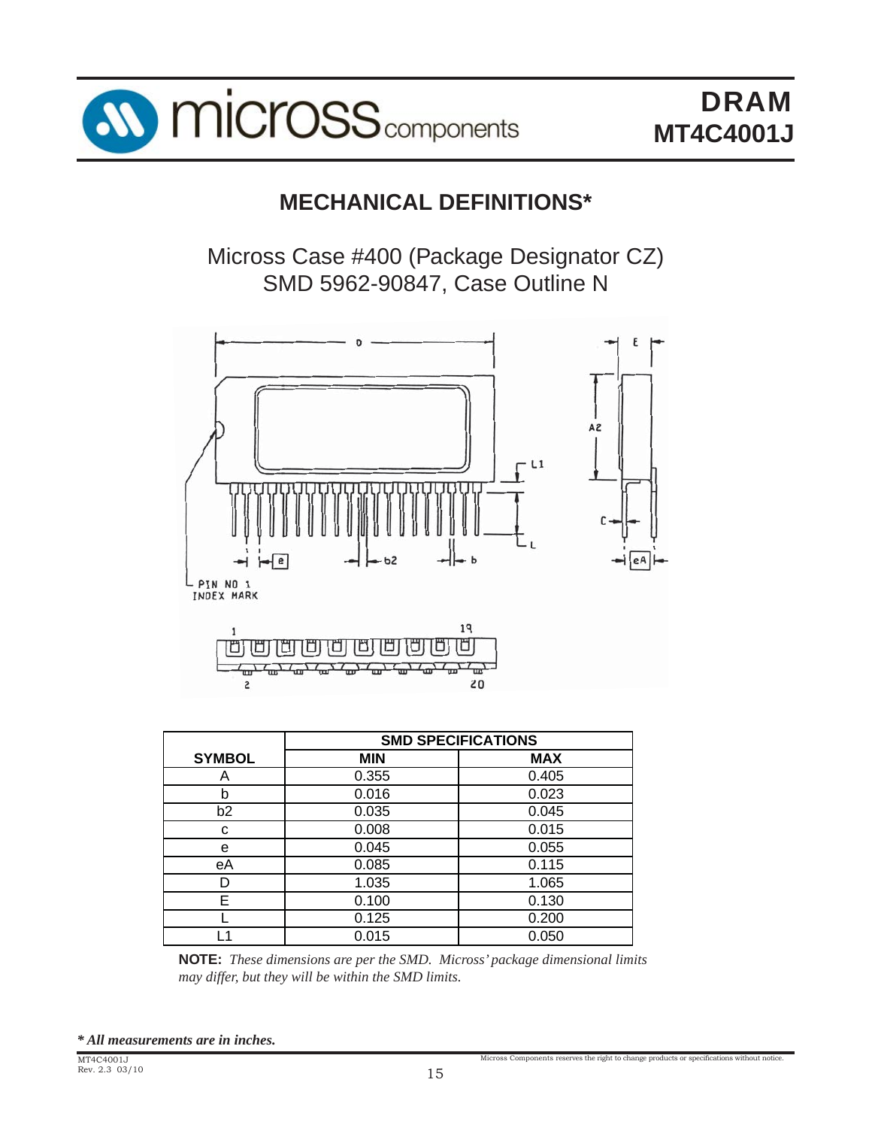

### **MECHANICAL DEFINITIONS\***

Micross Case #400 (Package Designator CZ) SMD 5962-90847, Case Outline N



|                | <b>SMD SPECIFICATIONS</b> |            |  |  |  |  |  |
|----------------|---------------------------|------------|--|--|--|--|--|
| <b>SYMBOL</b>  | <b>MIN</b>                | <b>MAX</b> |  |  |  |  |  |
| А              | 0.355                     | 0.405      |  |  |  |  |  |
| h              | 0.016                     | 0.023      |  |  |  |  |  |
| b <sub>2</sub> | 0.035                     | 0.045      |  |  |  |  |  |
| C              | 0.008                     | 0.015      |  |  |  |  |  |
| е              | 0.045                     | 0.055      |  |  |  |  |  |
| еA             | 0.085                     | 0.115      |  |  |  |  |  |
|                | 1.035                     | 1.065      |  |  |  |  |  |
| F.             | 0.100                     | 0.130      |  |  |  |  |  |
|                | 0.125                     | 0.200      |  |  |  |  |  |
|                | 0.015                     | 0.050      |  |  |  |  |  |

**NOTE:** *These dimensions are per the SMD. Micross' package dimensional limits may differ, but they will be within the SMD limits.*

*\* All measurements are in inches.*

Micross Components reserves the right to change products or specifications without notice.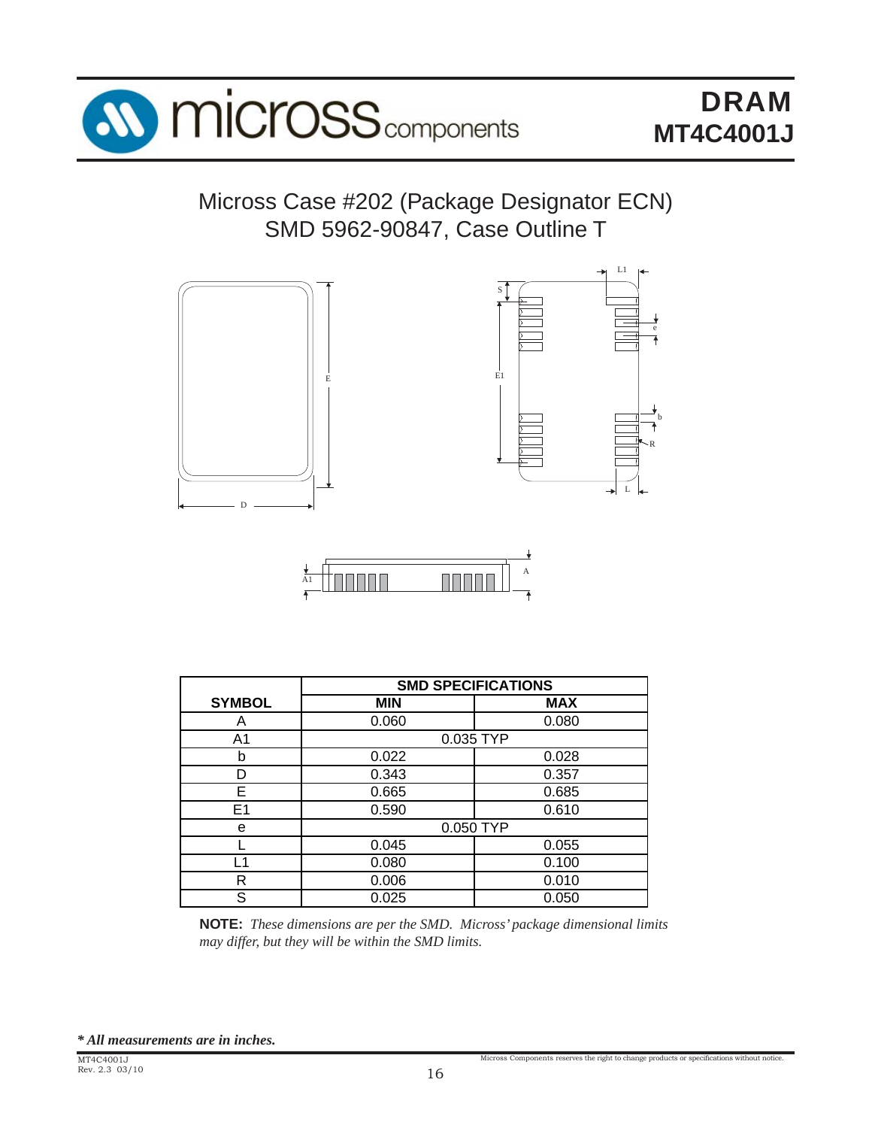

Micross Case #202 (Package Designator ECN) SMD 5962-90847, Case Outline T





|               | <b>SMD SPECIFICATIONS</b> |            |  |  |  |
|---------------|---------------------------|------------|--|--|--|
| <b>SYMBOL</b> | <b>MIN</b>                | <b>MAX</b> |  |  |  |
| Α             | 0.060                     | 0.080      |  |  |  |
| A1            |                           | 0.035 TYP  |  |  |  |
| b             | 0.022                     | 0.028      |  |  |  |
| n             | 0.343                     | 0.357      |  |  |  |
| E             | 0.665                     | 0.685      |  |  |  |
| E1            | 0.590                     | 0.610      |  |  |  |
| e             |                           | 0.050 TYP  |  |  |  |
|               | 0.045                     | 0.055      |  |  |  |
| l 1           | 0.080                     | 0.100      |  |  |  |
| R             | 0.006                     | 0.010      |  |  |  |
| S             | 0.025                     | 0.050      |  |  |  |

**NOTE:** *These dimensions are per the SMD. Micross' package dimensional limits may differ, but they will be within the SMD limits.*

*\* All measurements are in inches.*

Micross Components reserves the right to change products or specifications without notice.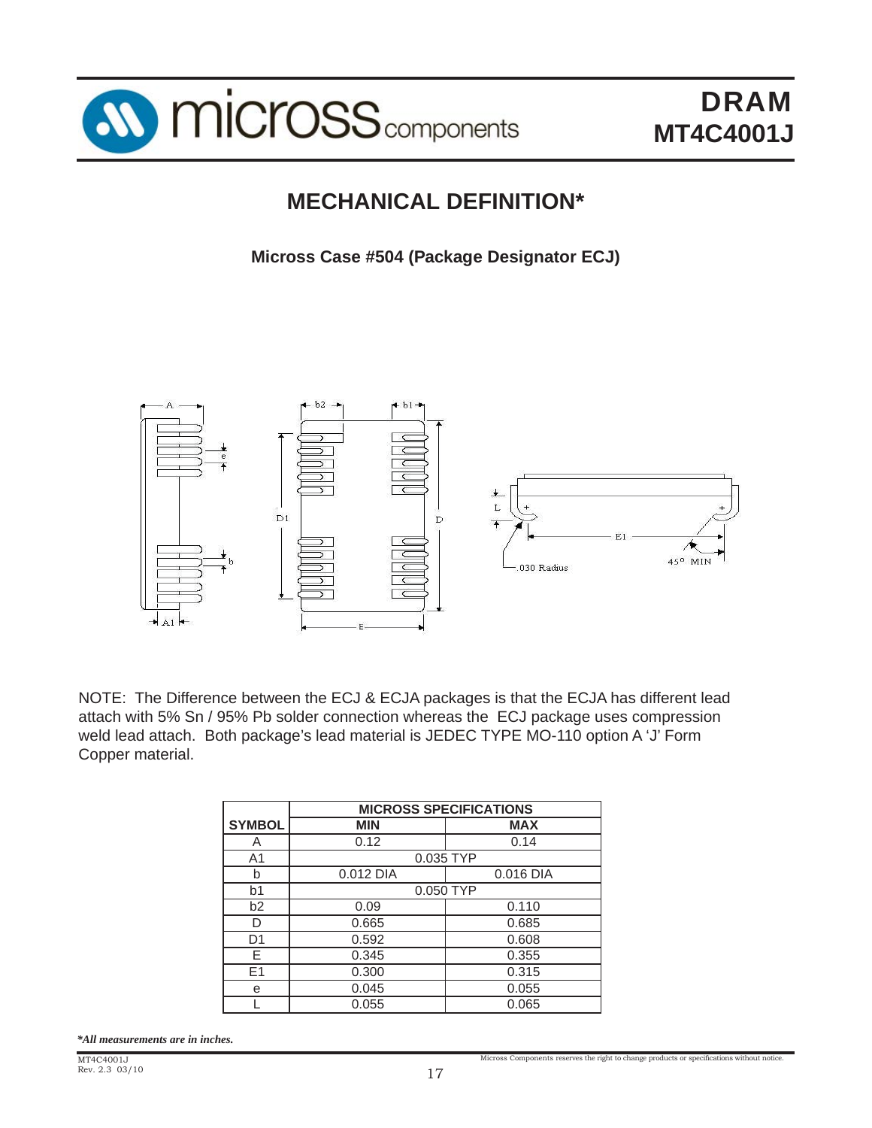

## **MECHANICAL DEFINITION\***

**Micross Case #504 (Package Designator ECJ)**



NOTE: The Difference between the ECJ & ECJA packages is that the ECJA has different lead attach with 5% Sn / 95% Pb solder connection whereas the ECJ package uses compression weld lead attach. Both package's lead material is JEDEC TYPE MO-110 option A 'J' Form Copper material.

|                | <b>MICROSS SPECIFICATIONS</b> |            |  |  |  |  |
|----------------|-------------------------------|------------|--|--|--|--|
| <b>SYMBOL</b>  | <b>MIN</b>                    | <b>MAX</b> |  |  |  |  |
| A              | 0.12                          | 0.14       |  |  |  |  |
| A <sub>1</sub> | 0.035 TYP                     |            |  |  |  |  |
| b              | 0.012 DIA                     | 0.016 DIA  |  |  |  |  |
| b1             | 0.050 TYP                     |            |  |  |  |  |
| b2             | 0.09                          | 0.110      |  |  |  |  |
| D              | 0.665                         | 0.685      |  |  |  |  |
| D <sub>1</sub> | 0.592                         | 0.608      |  |  |  |  |
| F              | 0.345                         | 0.355      |  |  |  |  |
| E1             | 0.300                         | 0.315      |  |  |  |  |
| е              | 0.045                         | 0.055      |  |  |  |  |
|                | 0.055                         | 0.065      |  |  |  |  |

*\*All measurements are in inches.*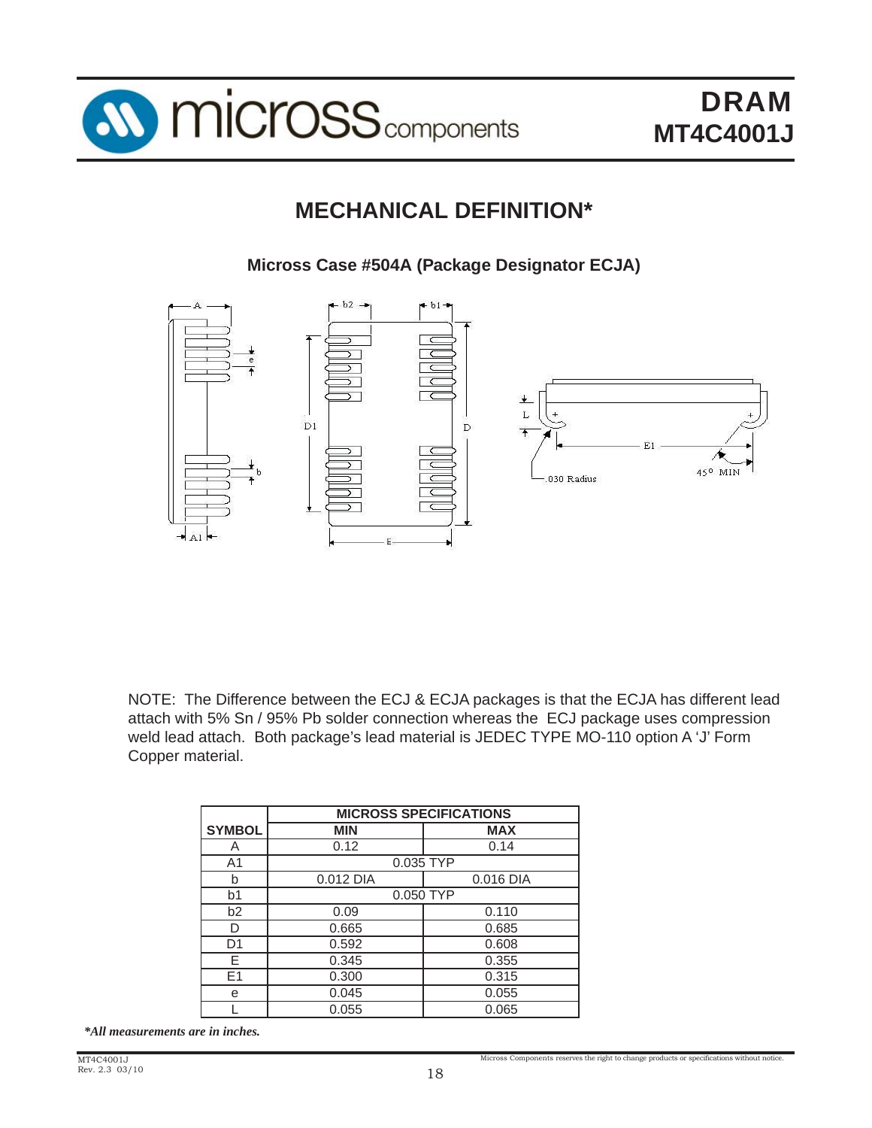

# **MECHANICAL DEFINITION\***

**Micross Case #504A (Package Designator ECJA)**



 NOTE: The Difference between the ECJ & ECJA packages is that the ECJA has different lead attach with 5% Sn / 95% Pb solder connection whereas the ECJ package uses compression weld lead attach. Both package's lead material is JEDEC TYPE MO-110 option A 'J' Form Copper material.

|                | <b>MICROSS SPECIFICATIONS</b> |            |  |  |  |  |  |
|----------------|-------------------------------|------------|--|--|--|--|--|
| <b>SYMBOL</b>  | <b>MIN</b>                    | <b>MAX</b> |  |  |  |  |  |
| A              | 0.12                          | 0.14       |  |  |  |  |  |
| A <sub>1</sub> |                               | 0.035 TYP  |  |  |  |  |  |
| b              | 0.012 DIA                     | 0.016 DIA  |  |  |  |  |  |
| b <sub>1</sub> |                               | 0.050 TYP  |  |  |  |  |  |
| b2             | 0.09                          | 0.110      |  |  |  |  |  |
| D              | 0.665                         | 0.685      |  |  |  |  |  |
| D1             | 0.592                         | 0.608      |  |  |  |  |  |
| F              | 0.345                         | 0.355      |  |  |  |  |  |
| E1             | 0.300<br>0.315                |            |  |  |  |  |  |
| е              | 0.045                         | 0.055      |  |  |  |  |  |
|                | 0.055                         | 0.065      |  |  |  |  |  |

*\*All measurements are in inches.*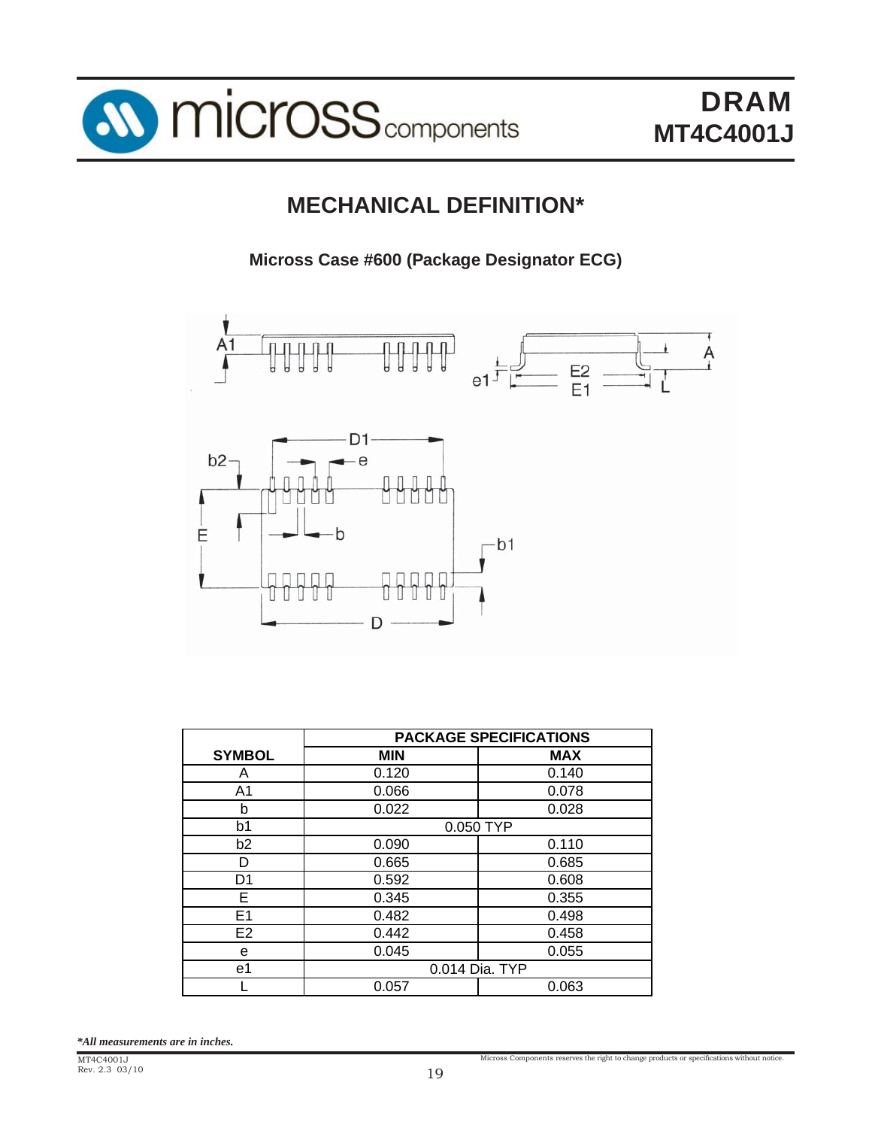

## **MECHANICAL DEFINITION\***

**Micross Case #600 (Package Designator ECG)**



|                | <b>PACKAGE SPECIFICATIONS</b> |            |  |  |  |  |
|----------------|-------------------------------|------------|--|--|--|--|
| <b>SYMBOL</b>  | <b>MIN</b>                    | <b>MAX</b> |  |  |  |  |
| A              | 0.120                         | 0.140      |  |  |  |  |
| A1             | 0.066                         | 0.078      |  |  |  |  |
| b              | 0.022                         | 0.028      |  |  |  |  |
| b <sub>1</sub> | 0.050 TYP                     |            |  |  |  |  |
| b <sub>2</sub> | 0.090                         | 0.110      |  |  |  |  |
| D              | 0.665                         | 0.685      |  |  |  |  |
| D1             | 0.592                         | 0.608      |  |  |  |  |
| Е              | 0.345                         | 0.355      |  |  |  |  |
| E <sub>1</sub> | 0.482                         | 0.498      |  |  |  |  |
| E <sub>2</sub> | 0.442                         | 0.458      |  |  |  |  |
| e              | 0.045<br>0.055                |            |  |  |  |  |
| e1             | 0.014 Dia. TYP                |            |  |  |  |  |
|                | 0.057                         | 0.063      |  |  |  |  |

*\*All measurements are in inches.*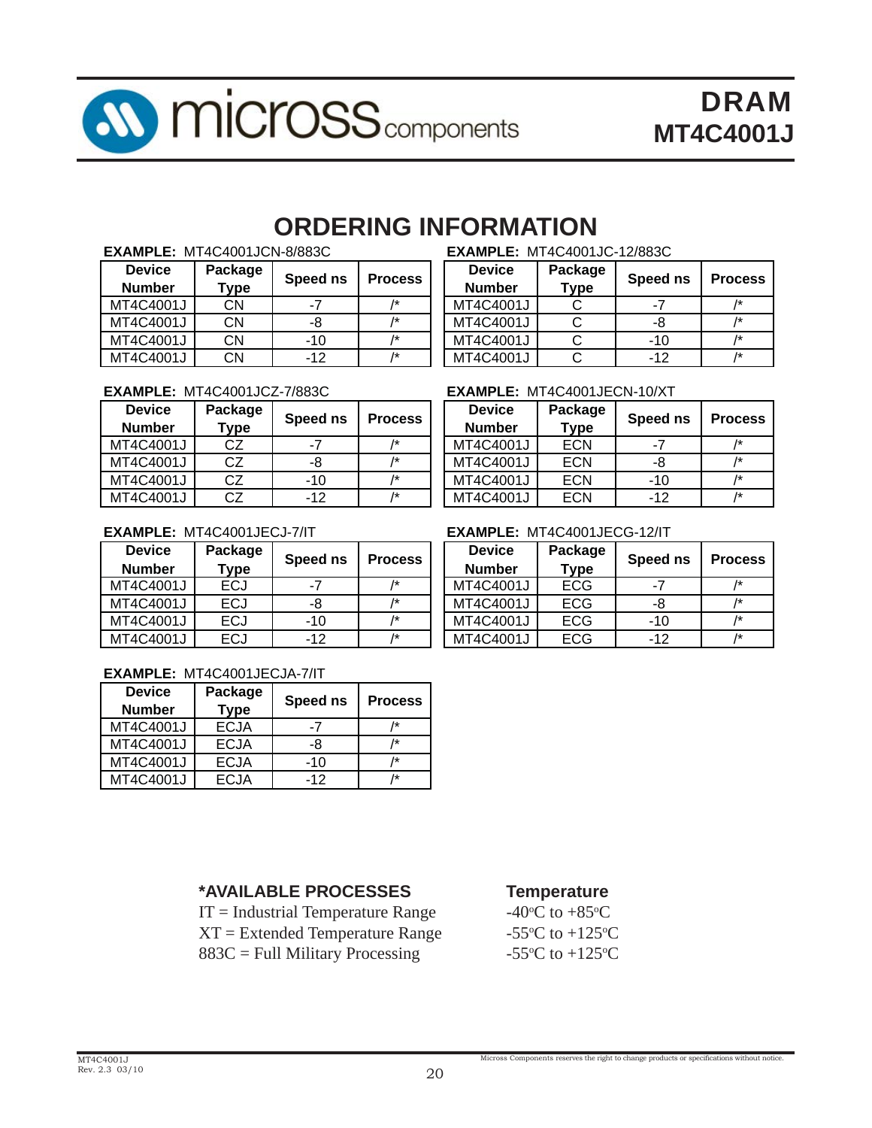

# **ORDERING INFORMATION**

| <b>Device</b> | Package   |          | <b>Process</b> | <b>Device</b> | Package     | Speed ns | Proce          |
|---------------|-----------|----------|----------------|---------------|-------------|----------|----------------|
| <b>Number</b> | Type      | Speed ns |                | <b>Number</b> | <b>Type</b> |          |                |
| MT4C4001J     | CΝ        | - 1      | 1*             | MT4C4001J     |             | - 1      | $/\star$       |
| MT4C4001J     | <b>CN</b> | -8       |                | MT4C4001J     |             | -8       | $\overline{1}$ |
| MT4C4001J     | CΝ        | -10      | 1*             | MT4C4001J     |             | $-10$    | $\overline{1}$ |
| MT4C4001J     | <b>CN</b> | -12      | 1*             | MT4C4001J     |             | -12      | $\overline{1}$ |

| <b>EXAMPLE:</b> M14C4001JCZ-77883C |         |          |                | <b>EXAMPLE: MI4C4001JECN-10/XI</b> |             |          |          |
|------------------------------------|---------|----------|----------------|------------------------------------|-------------|----------|----------|
| <b>Device</b>                      | Package | Speed ns | <b>Process</b> | <b>Device</b>                      | Package     | Speed ns | Proce    |
| <b>Number</b>                      | Type    |          |                | <b>Number</b>                      | <b>Type</b> |          |          |
| MT4C4001J                          | CZ      | -7       | 1*             | MT4C4001J                          | <b>ECN</b>  | -7       | $/\star$ |
| MT4C4001J                          | CZ      | -8       | /*             | MT4C4001J                          | <b>ECN</b>  | -8       | $/\star$ |
| MT4C4001J                          | CZ      | -10      | $\overline{1}$ | MT4C4001J                          | <b>ECN</b>  | $-10$    | $/\star$ |
| MT4C4001J                          | CZ      | $-12$    | /*             | MT4C4001J                          | <b>ECN</b>  | $-12$    | $/\star$ |

#### **EXAMPLE:** MT4C4001JCN-8/883C **EXAMPLE:** MT4C4001JC-12/883C

| <b>Device</b> | Package     | Speed ns | <b>Process</b> |  |
|---------------|-------------|----------|----------------|--|
| <b>Number</b> | <b>Type</b> |          |                |  |
| MT4C4001J     |             | -7       |                |  |
| MT4C4001J     | C           | -8       | /*             |  |
| MT4C4001J     |             | $-10$    |                |  |
| MT4C4001J     |             | -12      | 1÷             |  |

#### **EXAMPLE: MT4C4001JECN-10/XT**

| <b>Device</b><br><b>Number</b> | Package<br><b>Type</b> | Speed ns | <b>Process</b> |
|--------------------------------|------------------------|----------|----------------|
| MT4C4001J                      | <b>ECN</b>             | -7       | 1*             |
| MT4C4001J                      | <b>ECN</b>             | -8       | 1*             |
| MT4C4001J                      | <b>ECN</b>             | $-10$    | /*             |
| MT4C4001J                      | FCN                    | $-12$    | /*             |

| <b>Device</b><br><b>Number</b> | Package<br>Type | Speed ns | <b>Process</b> | <b>Device</b><br><b>Number</b> | Package<br>$T$ ype | Speed ns | Proce           |
|--------------------------------|-----------------|----------|----------------|--------------------------------|--------------------|----------|-----------------|
| MT4C4001J                      | ECJ             | -7       |                | MT4C4001J                      | <b>ECG</b>         | $-7$     | $/\star$        |
| MT4C4001J                      | ECJ             | -8       |                | MT4C4001J                      | <b>ECG</b>         | -8       | $/\star$        |
| MT4C4001J                      | <b>ECJ</b>      | -10      |                | MT4C4001J                      | <b>ECG</b>         | $-10$    | $\overline{1*}$ |
| MT4C4001J                      | ECJ             | -12      | /*             | MT4C4001J                      | <b>ECG</b>         | -12      | $/\star$        |

#### **EXAMPLE:** MT4C4001JECJA-7/IT

| <b>Device</b><br><b>Number</b> | Package<br><b>Type</b> | Speed ns | <b>Process</b> |
|--------------------------------|------------------------|----------|----------------|
| MT4C4001J                      | <b>ECJA</b>            | -7       |                |
| MT4C4001J                      | <b>ECJA</b>            | -8       |                |
| MT4C4001J                      | <b>ECJA</b>            | $-10$    | /*             |
| MT4C4001J                      | EC.JA                  | $-12$    | l÷             |

#### **EXAMPLE:** MT4C4001JECJ-7/IT **EXAMPLE:** MT4C4001JECG-12/IT

| <b>Device</b><br><b>Number</b> | Package<br><b>Type</b> | Speed ns | <b>Process</b> |
|--------------------------------|------------------------|----------|----------------|
| MT4C4001J                      | <b>ECG</b>             | -7       | /*             |
| MT4C4001J                      | <b>ECG</b>             | -8       | 1*             |
| MT4C4001J                      | <b>ECG</b>             | $-10$    | 1*             |
| MT4C4001J                      | <b>ECG</b>             | $-12$    | 1*             |

#### **\*AVAILABLE PROCESSES Temperature**

 $IT = Industrial Temperature Range$  $XT = Extended Temperature Range$  $883C =$  Full Military Processing

C to  $+85^{\circ}$ C C to  $+125$ <sup>o</sup>C C to  $+125$ <sup>o</sup>C

Micross Components reserves the right to change products or specifications without notice.